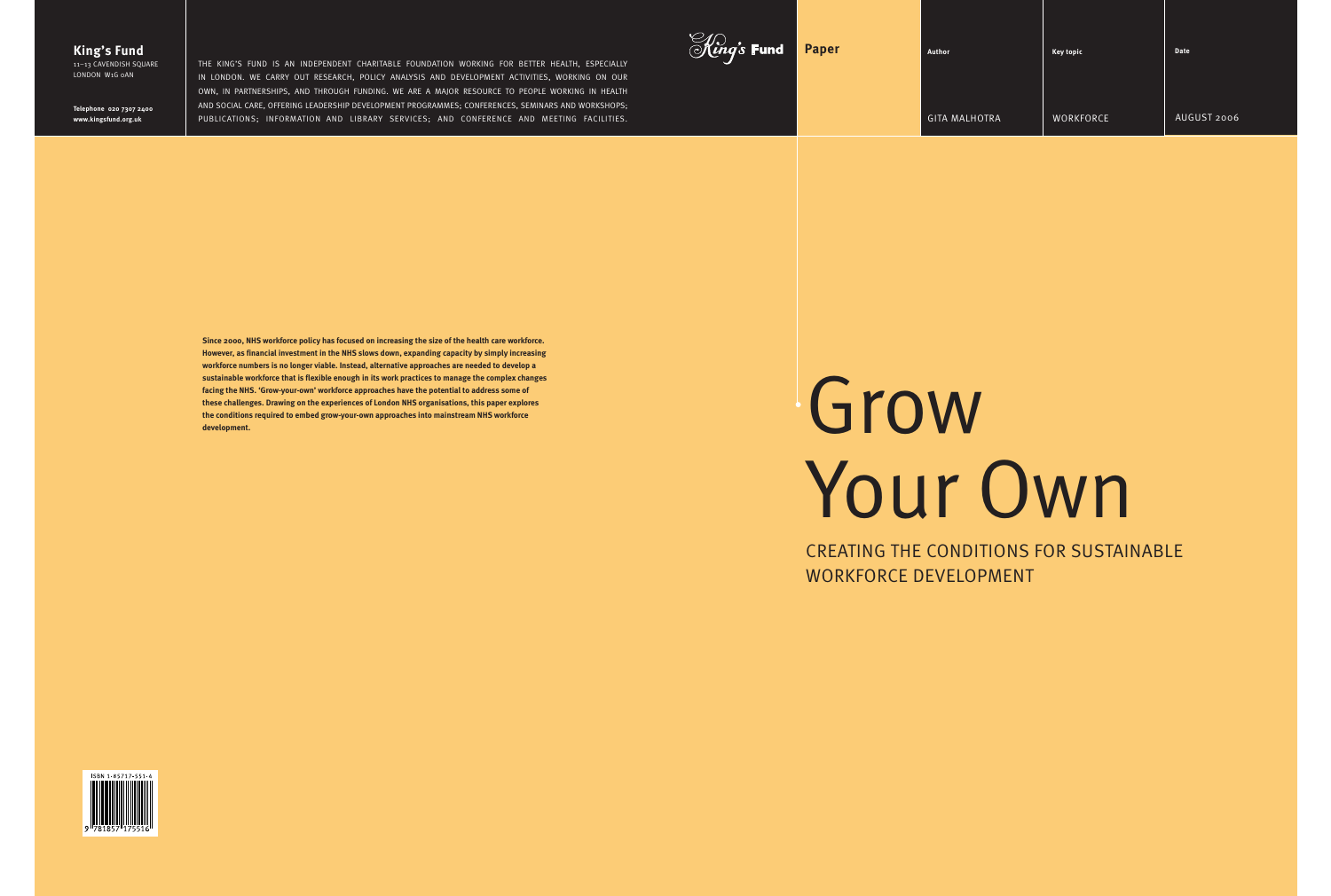| <i>Al.)</i><br>M <i>ing's</i> Fund | <b>Paper</b> | Author               | <b>Key topic</b> | Date        |
|------------------------------------|--------------|----------------------|------------------|-------------|
|                                    |              | <b>GITA MALHOTRA</b> | WORKFORCE        | AUGUST 2006 |
|                                    |              |                      |                  |             |

# Grow Your Own

CREATING THE CONDITIONS FOR SUSTAINABLE WORKFORCE DEVELOPMENT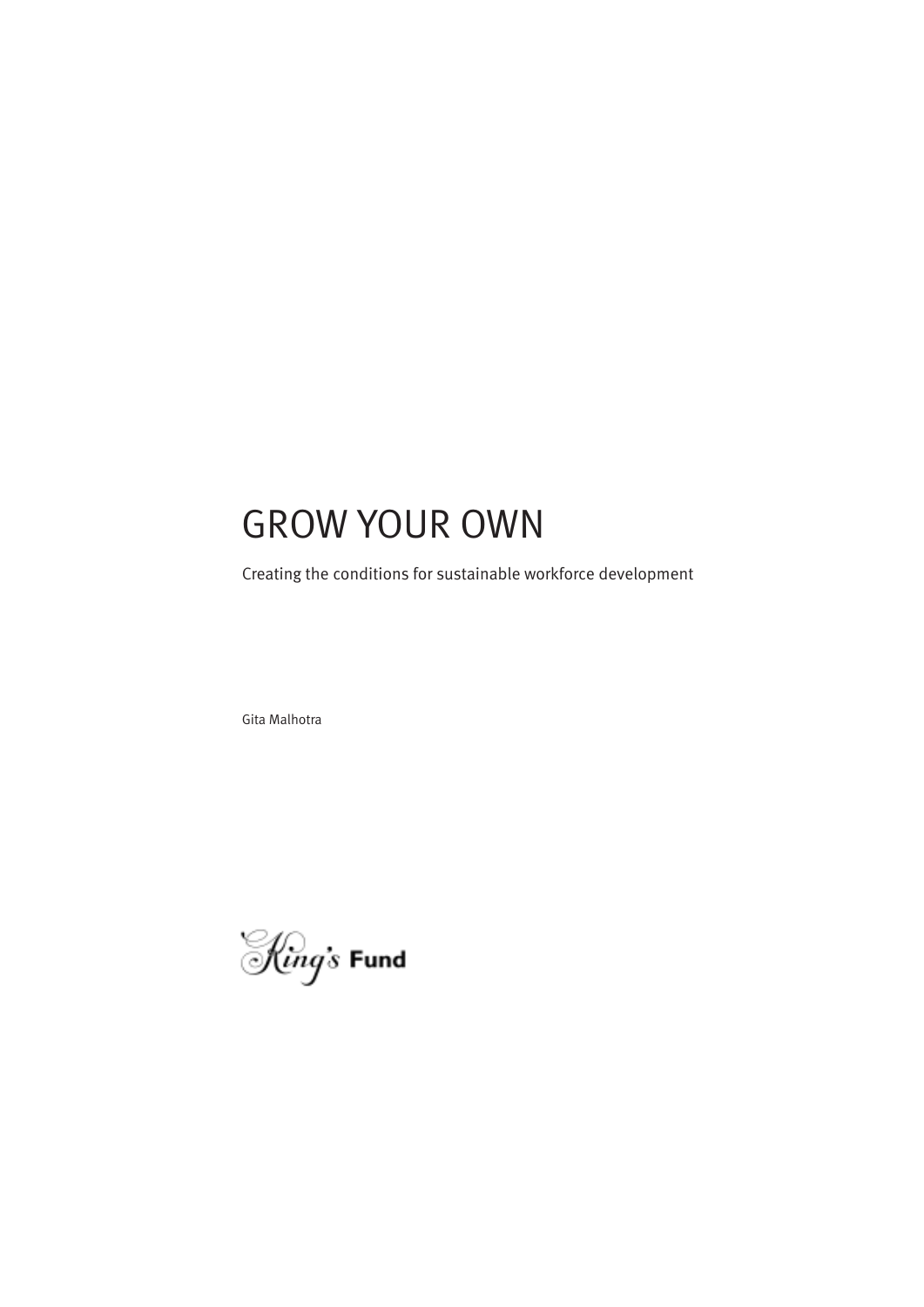# GROW YOUR OWN

Creating the conditions for sustainable workforce development

Gita Malhotra

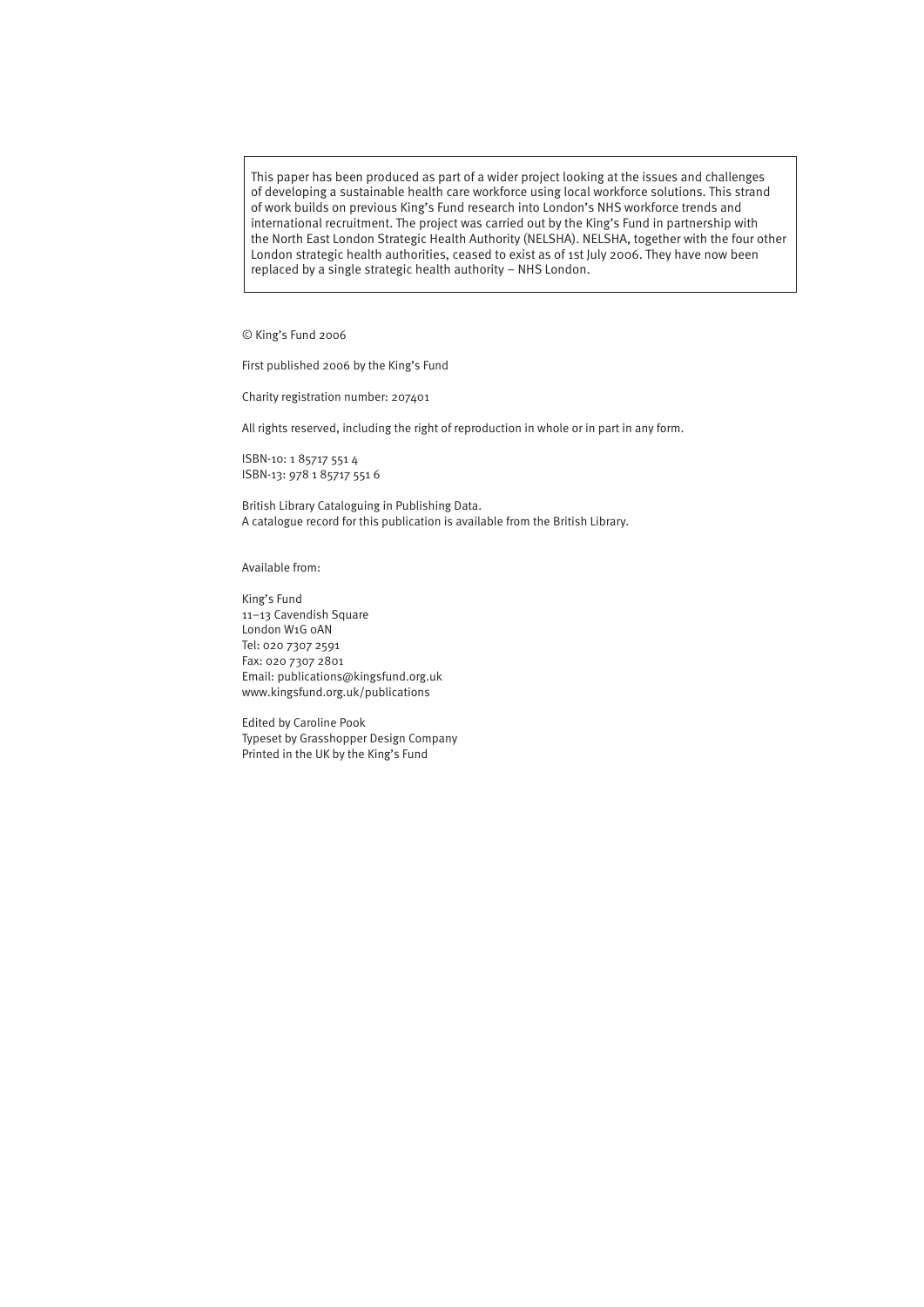This paper has been produced as part of a wider project looking at the issues and challenges of developing a sustainable health care workforce using local workforce solutions. This strand of work builds on previous King's Fund research into London's NHS workforce trends and international recruitment. The project was carried out by the King's Fund in partnership with the North East London Strategic Health Authority (NELSHA). NELSHA, together with the four other London strategic health authorities, ceased to exist as of 1st July 2006. They have now been replaced by a single strategic health authority – NHS London.

© King's Fund 2006

First published 2006 by the King's Fund

Charity registration number: 207401

All rights reserved, including the right of reproduction in whole or in part in any form.

ISBN-10: 1 85717 551 4 ISBN-13: 978 1 85717 551 6

British Library Cataloguing in Publishing Data. A catalogue record for this publication is available from the British Library.

Available from:

King's Fund 11–13 Cavendish Square London W1G 0AN Tel: 020 7307 2591 Fax: 020 7307 2801 Email: publications@kingsfund.org.uk www.kingsfund.org.uk/publications

Edited by Caroline Pook Typeset by Grasshopper Design Company Printed in the UK by the King's Fund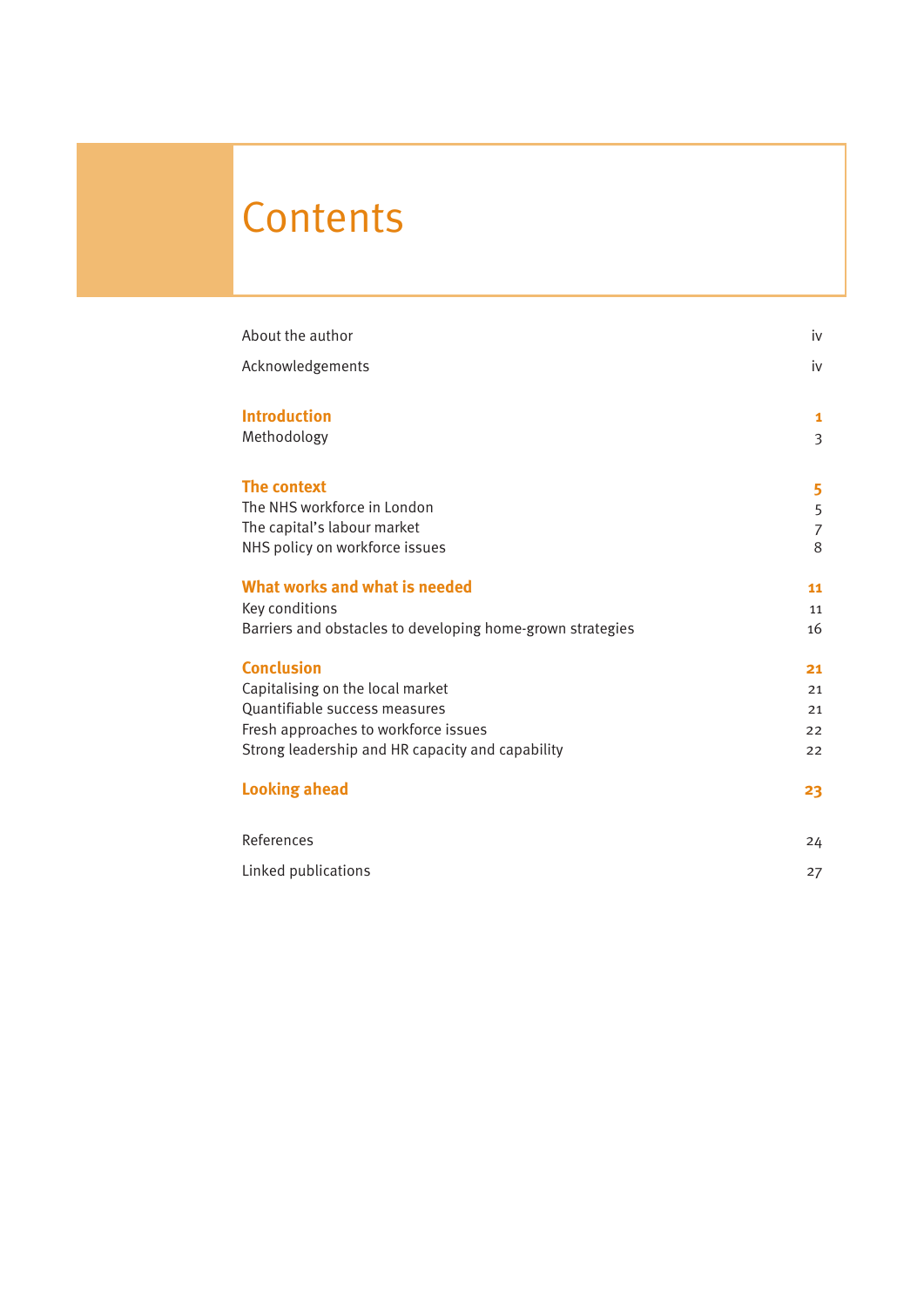# **Contents**

| iv             |
|----------------|
| iv             |
| $\mathbf{1}$   |
| $\overline{3}$ |
| 5              |
| 5              |
| $\overline{7}$ |
| 8              |
| 11             |
| 11             |
| 16             |
| 21             |
| 21             |
| 21             |
| 22             |
| 22             |
| 23             |
| 24             |
| 27             |
|                |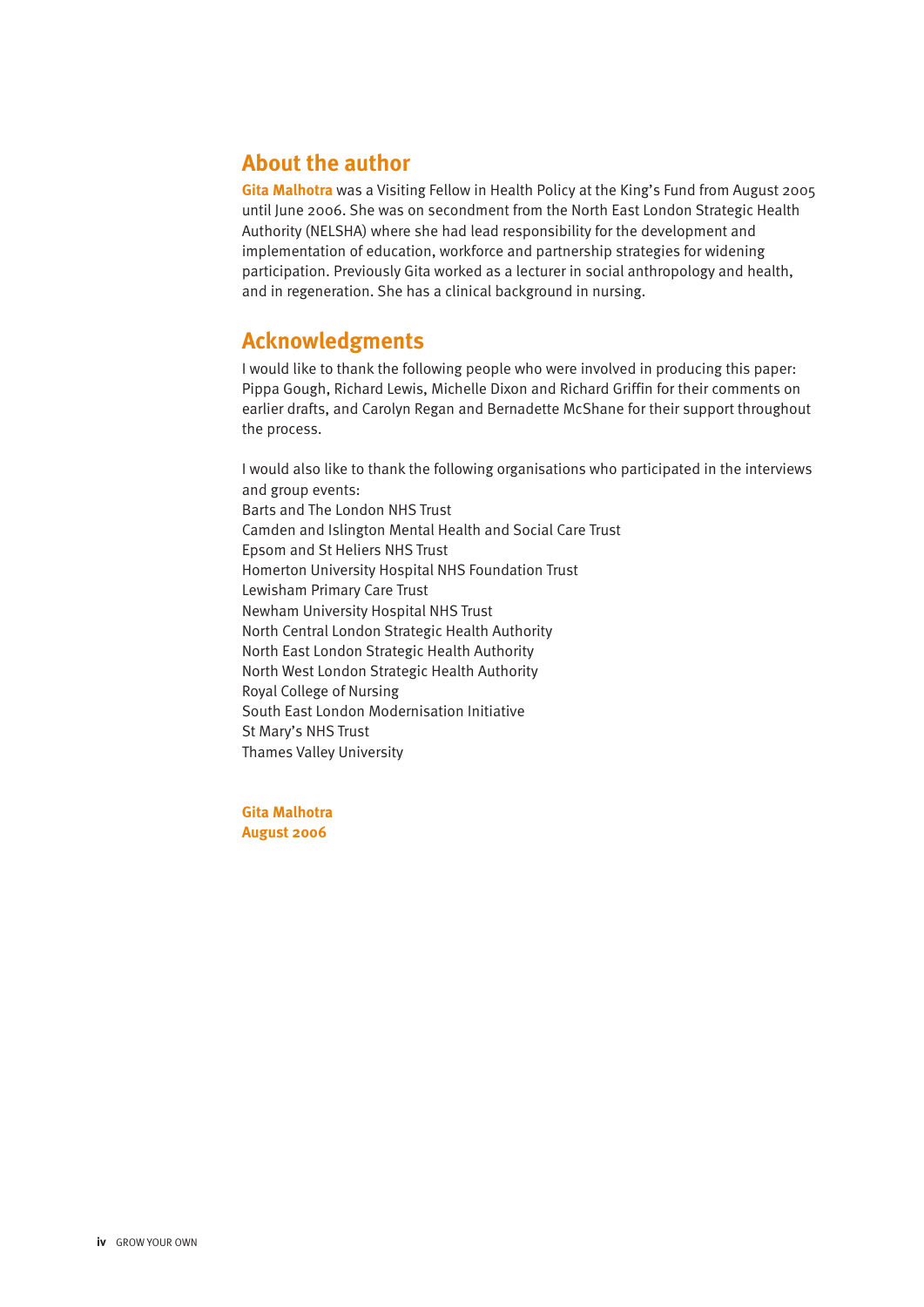# **About the author**

**Gita Malhotra** was a Visiting Fellow in Health Policy at the King's Fund from August 2005 until June 2006. She was on secondment from the North East London Strategic Health Authority (NELSHA) where she had lead responsibility for the development and implementation of education, workforce and partnership strategies for widening participation. Previously Gita worked as a lecturer in social anthropology and health, and in regeneration. She has a clinical background in nursing.

# **Acknowledgments**

I would like to thank the following people who were involved in producing this paper: Pippa Gough, Richard Lewis, Michelle Dixon and Richard Griffin for their comments on earlier drafts, and Carolyn Regan and Bernadette McShane for their support throughout the process.

I would also like to thank the following organisations who participated in the interviews and group events: Barts and The London NHS Trust Camden and Islington Mental Health and Social Care Trust Epsom and St Heliers NHS Trust Homerton University Hospital NHS Foundation Trust Lewisham Primary Care Trust Newham University Hospital NHS Trust North Central London Strategic Health Authority North East London Strategic Health Authority North West London Strategic Health Authority Royal College of Nursing South East London Modernisation Initiative St Mary's NHS Trust Thames Valley University

**Gita Malhotra August 2006**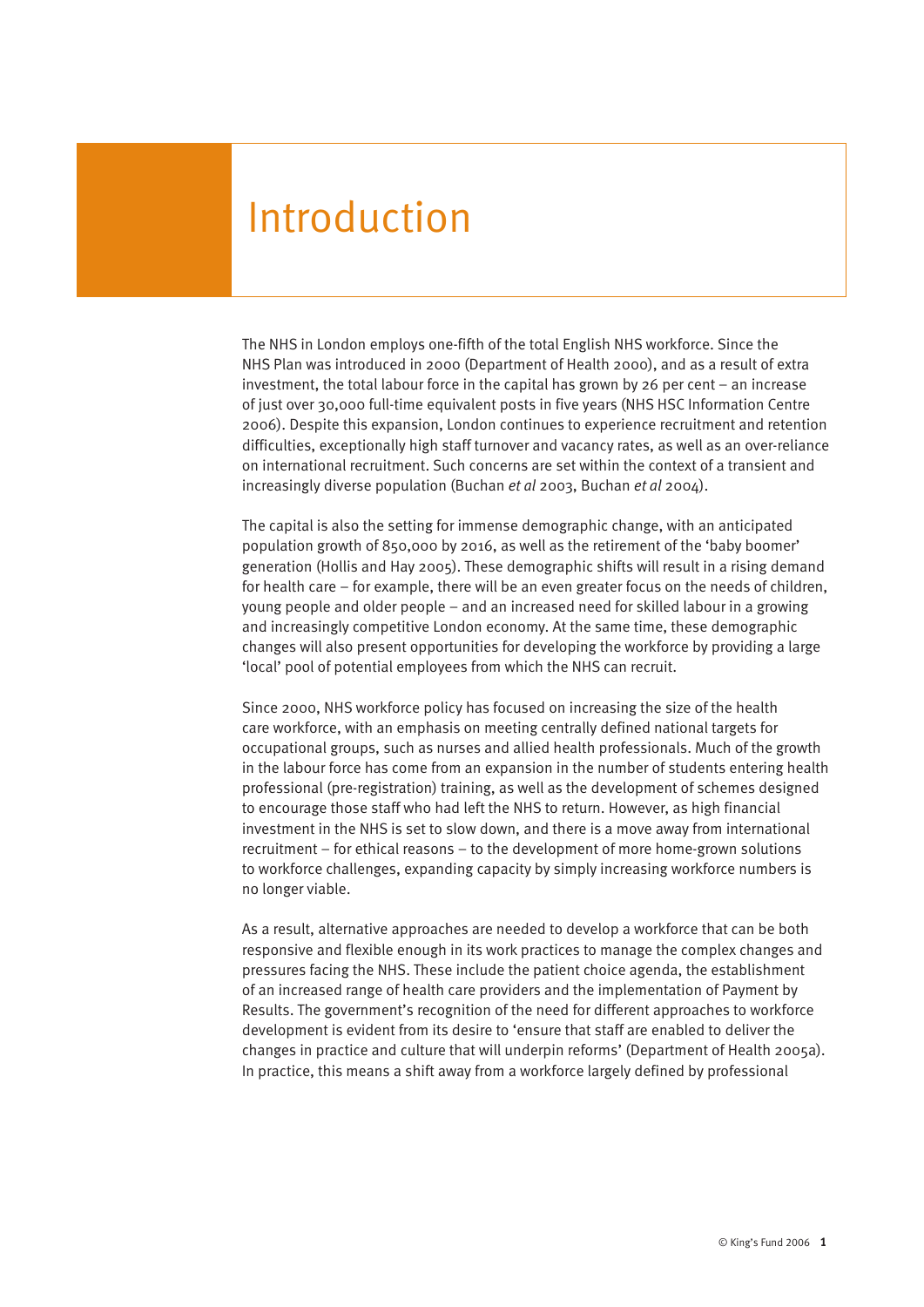# Introduction

The NHS in London employs one-fifth of the total English NHS workforce. Since the NHS Plan was introduced in 2000 (Department of Health 2000), and as a result of extra investment, the total labour force in the capital has grown by 26 per cent – an increase of just over 30,000 full-time equivalent posts in five years (NHS HSC Information Centre 2006). Despite this expansion, London continues to experience recruitment and retention difficulties, exceptionally high staff turnover and vacancy rates, as well as an over-reliance on international recruitment. Such concerns are set within the context of a transient and increasingly diverse population (Buchan *et al* 2003, Buchan *et al* 2004).

The capital is also the setting for immense demographic change, with an anticipated population growth of 850,000 by 2016, as well as the retirement of the 'baby boomer' generation (Hollis and Hay 2005). These demographic shifts will result in a rising demand for health care – for example, there will be an even greater focus on the needs of children, young people and older people – and an increased need for skilled labour in a growing and increasingly competitive London economy. At the same time, these demographic changes will also present opportunities for developing the workforce by providing a large 'local' pool of potential employees from which the NHS can recruit.

Since 2000, NHS workforce policy has focused on increasing the size of the health care workforce, with an emphasis on meeting centrally defined national targets for occupational groups, such as nurses and allied health professionals. Much of the growth in the labour force has come from an expansion in the number of students entering health professional (pre-registration) training, as well as the development of schemes designed to encourage those staff who had left the NHS to return. However, as high financial investment in the NHS is set to slow down, and there is a move away from international recruitment – for ethical reasons – to the development of more home-grown solutions to workforce challenges, expanding capacity by simply increasing workforce numbers is no longer viable.

As a result, alternative approaches are needed to develop a workforce that can be both responsive and flexible enough in its work practices to manage the complex changes and pressures facing the NHS. These include the patient choice agenda, the establishment of an increased range of health care providers and the implementation of Payment by Results. The government's recognition of the need for different approaches to workforce development is evident from its desire to 'ensure that staff are enabled to deliver the changes in practice and culture that will underpin reforms' (Department of Health 2005a). In practice, this means a shift away from a workforce largely defined by professional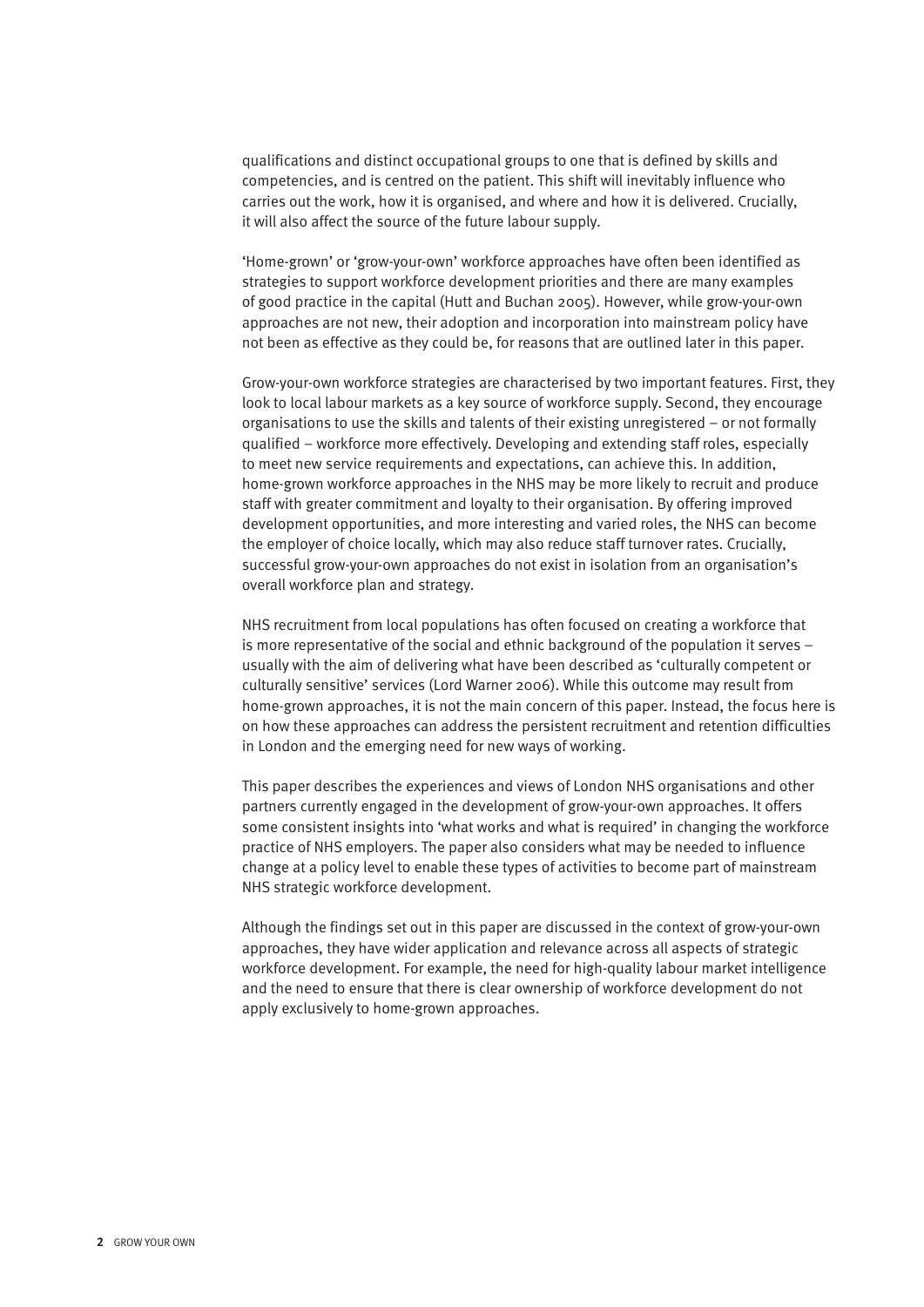qualifications and distinct occupational groups to one that is defined by skills and competencies, and is centred on the patient. This shift will inevitably influence who carries out the work, how it is organised, and where and how it is delivered. Crucially, it will also affect the source of the future labour supply.

'Home-grown' or 'grow-your-own' workforce approaches have often been identified as strategies to support workforce development priorities and there are many examples of good practice in the capital (Hutt and Buchan 2005). However, while grow-your-own approaches are not new, their adoption and incorporation into mainstream policy have not been as effective as they could be, for reasons that are outlined later in this paper.

Grow-your-own workforce strategies are characterised by two important features. First, they look to local labour markets as a key source of workforce supply. Second, they encourage organisations to use the skills and talents of their existing unregistered – or not formally qualified – workforce more effectively. Developing and extending staff roles, especially to meet new service requirements and expectations, can achieve this. In addition, home-grown workforce approaches in the NHS may be more likely to recruit and produce staff with greater commitment and loyalty to their organisation. By offering improved development opportunities, and more interesting and varied roles, the NHS can become the employer of choice locally, which may also reduce staff turnover rates. Crucially, successful grow-your-own approaches do not exist in isolation from an organisation's overall workforce plan and strategy.

NHS recruitment from local populations has often focused on creating a workforce that is more representative of the social and ethnic background of the population it serves – usually with the aim of delivering what have been described as 'culturally competent or culturally sensitive' services (Lord Warner 2006). While this outcome may result from home-grown approaches, it is not the main concern of this paper. Instead, the focus here is on how these approaches can address the persistent recruitment and retention difficulties in London and the emerging need for new ways of working.

This paper describes the experiences and views of London NHS organisations and other partners currently engaged in the development of grow-your-own approaches. It offers some consistent insights into 'what works and what is required' in changing the workforce practice of NHS employers. The paper also considers what may be needed to influence change at a policy level to enable these types of activities to become part of mainstream NHS strategic workforce development.

Although the findings set out in this paper are discussed in the context of grow-your-own approaches, they have wider application and relevance across all aspects of strategic workforce development. For example, the need for high-quality labour market intelligence and the need to ensure that there is clear ownership of workforce development do not apply exclusively to home-grown approaches.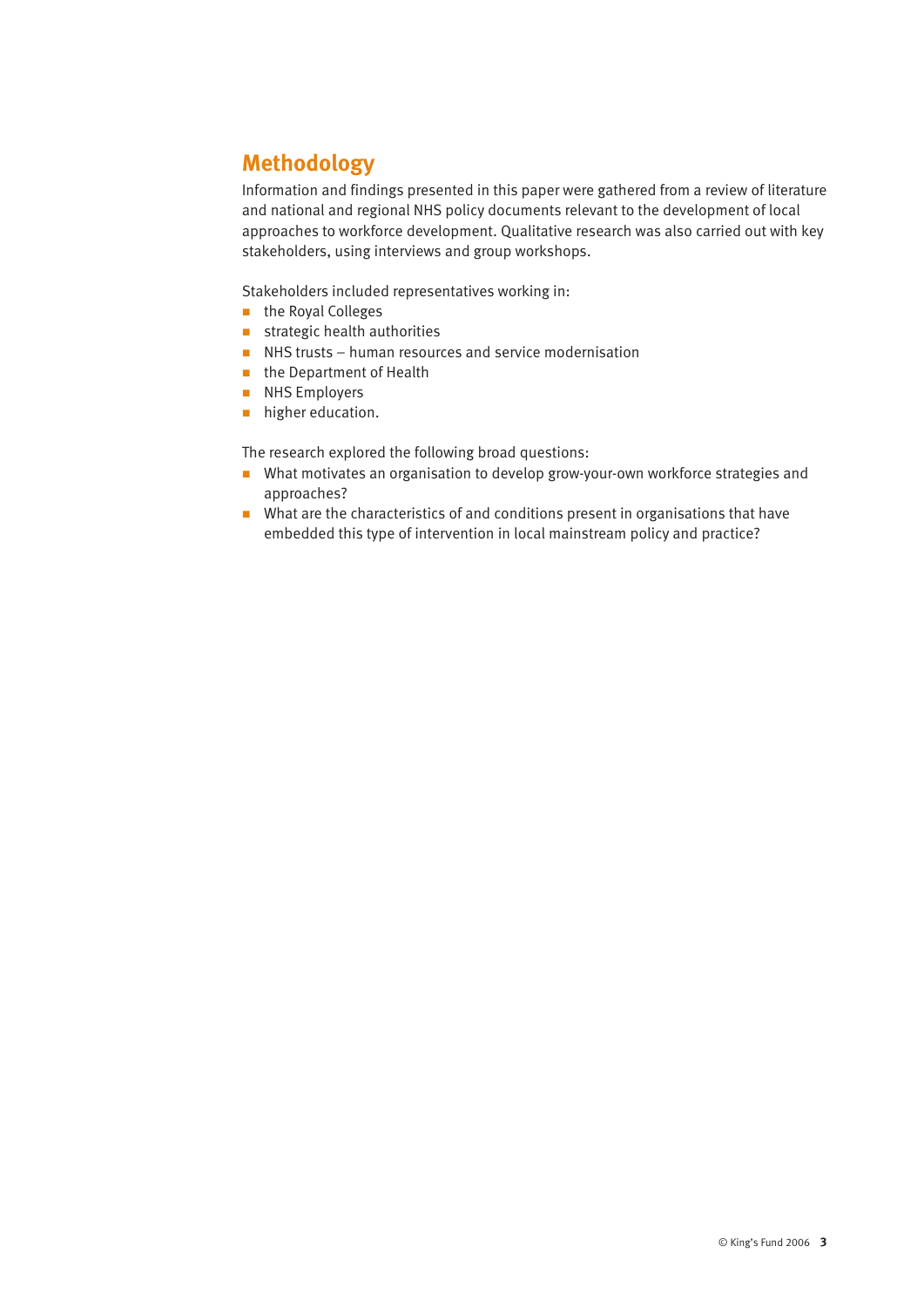# **Methodology**

Information and findings presented in this paper were gathered from a review of literature and national and regional NHS policy documents relevant to the development of local approaches to workforce development. Qualitative research was also carried out with key stakeholders, using interviews and group workshops.

Stakeholders included representatives working in:

- n the Royal Colleges
- $\blacksquare$  strategic health authorities
- $\blacksquare$  NHS trusts human resources and service modernisation
- **n** the Department of Health
- **NHS Employers**
- **n** higher education.

The research explored the following broad questions:

- What motivates an organisation to develop grow-your-own workforce strategies and approaches?
- $\blacksquare$  What are the characteristics of and conditions present in organisations that have embedded this type of intervention in local mainstream policy and practice?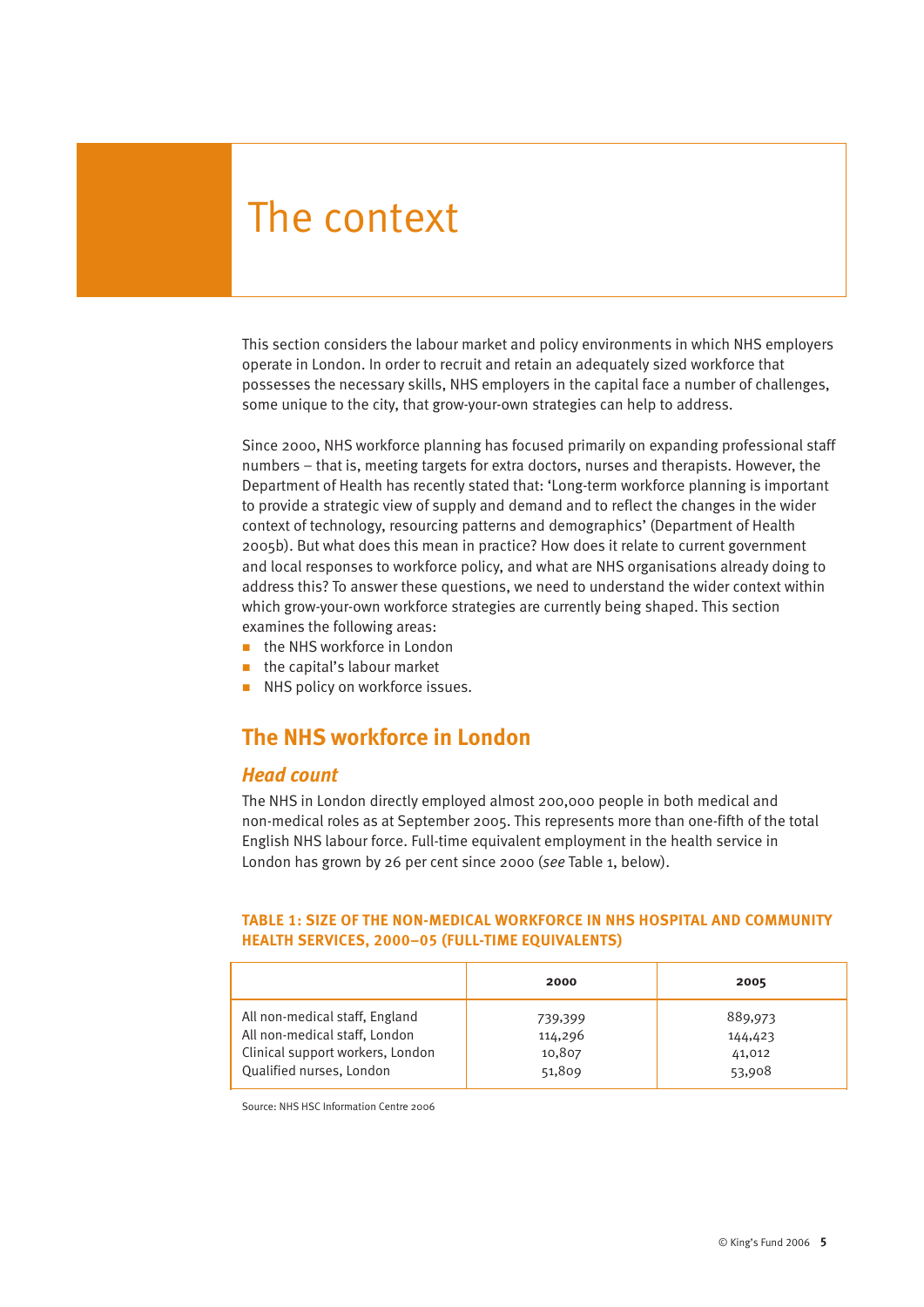# The context

This section considers the labour market and policy environments in which NHS employers operate in London. In order to recruit and retain an adequately sized workforce that possesses the necessary skills, NHS employers in the capital face a number of challenges, some unique to the city, that grow-your-own strategies can help to address.

Since 2000, NHS workforce planning has focused primarily on expanding professional staff numbers – that is, meeting targets for extra doctors, nurses and therapists. However, the Department of Health has recently stated that: 'Long-term workforce planning is important to provide a strategic view of supply and demand and to reflect the changes in the wider context of technology, resourcing patterns and demographics' (Department of Health 2005b). But what does this mean in practice? How does it relate to current government and local responses to workforce policy, and what are NHS organisations already doing to address this? To answer these questions, we need to understand the wider context within which grow-your-own workforce strategies are currently being shaped. This section examines the following areas:

- $\blacksquare$  the NHS workforce in London
- $\blacksquare$  the capital's labour market
- **NHS policy on workforce issues.**

### **The NHS workforce in London**

#### *Head count*

The NHS in London directly employed almost 200,000 people in both medical and non-medical roles as at September 2005. This represents more than one-fifth of the total English NHS labour force. Full-time equivalent employment in the health service in London has grown by 26 per cent since 2000 (*see* Table 1, below).

#### **TABLE 1: SIZE OF THE NON-MEDICAL WORKFORCE IN NHS HOSPITAL AND COMMUNITY HEALTH SERVICES, 2000–05 (FULL-TIME EQUIVALENTS)**

|                                  | 2000    | 2005    |
|----------------------------------|---------|---------|
| All non-medical staff, England   | 739,399 | 889,973 |
| All non-medical staff, London    | 114,296 | 144,423 |
| Clinical support workers, London | 10,807  | 41,012  |
| Qualified nurses, London         | 51,809  | 53,908  |

Source: NHS HSC Information Centre 2006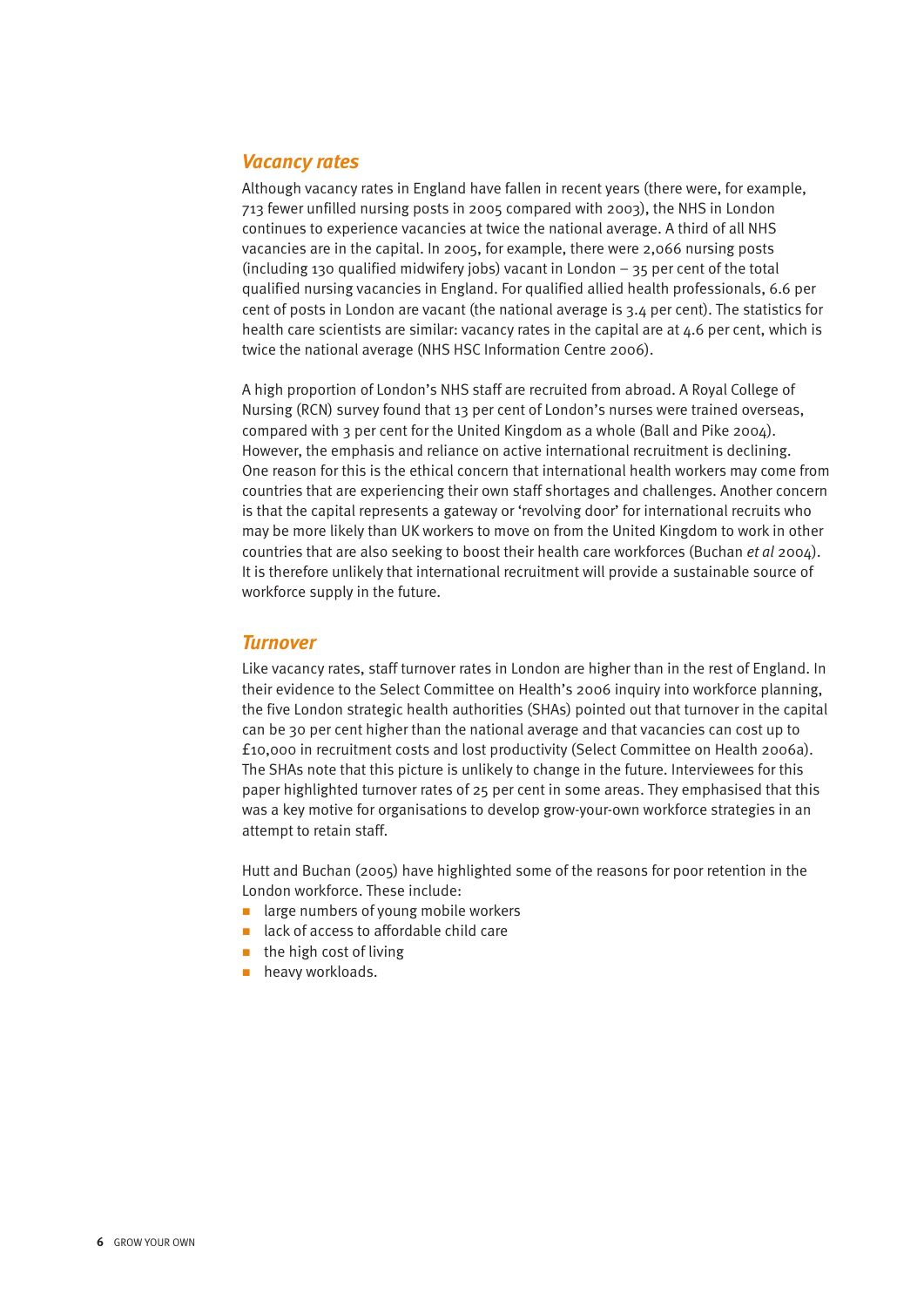#### *Vacancy rates*

Although vacancy rates in England have fallen in recent years (there were, for example, 713 fewer unfilled nursing posts in 2005 compared with 2003), the NHS in London continues to experience vacancies at twice the national average. A third of all NHS vacancies are in the capital. In 2005, for example, there were 2,066 nursing posts (including 130 qualified midwifery jobs) vacant in London  $-$  35 per cent of the total qualified nursing vacancies in England. For qualified allied health professionals, 6.6 per cent of posts in London are vacant (the national average is 3.4 per cent). The statistics for health care scientists are similar: vacancy rates in the capital are at 4.6 per cent, which is twice the national average (NHS HSC Information Centre 2006).

A high proportion of London's NHS staff are recruited from abroad. A Royal College of Nursing (RCN) survey found that 13 per cent of London's nurses were trained overseas, compared with 3 per cent for the United Kingdom as a whole (Ball and Pike 2004). However, the emphasis and reliance on active international recruitment is declining. One reason for this is the ethical concern that international health workers may come from countries that are experiencing their own staff shortages and challenges. Another concern is that the capital represents a gateway or 'revolving door' for international recruits who may be more likely than UK workers to move on from the United Kingdom to work in other countries that are also seeking to boost their health care workforces (Buchan *et al* 2004). It is therefore unlikely that international recruitment will provide a sustainable source of workforce supply in the future.

#### *Turnover*

Like vacancy rates, staff turnover rates in London are higher than in the rest of England. In their evidence to the Select Committee on Health's 2006 inquiry into workforce planning, the five London strategic health authorities (SHAs) pointed out that turnover in the capital can be 30 per cent higher than the national average and that vacancies can cost up to £10,000 in recruitment costs and lost productivity (Select Committee on Health 2006a). The SHAs note that this picture is unlikely to change in the future. Interviewees for this paper highlighted turnover rates of 25 per cent in some areas. They emphasised that this was a key motive for organisations to develop grow-your-own workforce strategies in an attempt to retain staff.

Hutt and Buchan (2005) have highlighted some of the reasons for poor retention in the London workforce. These include:

- $\blacksquare$  large numbers of young mobile workers
- lack of access to affordable child care
- $\blacksquare$  the high cost of living
- **n** heavy workloads.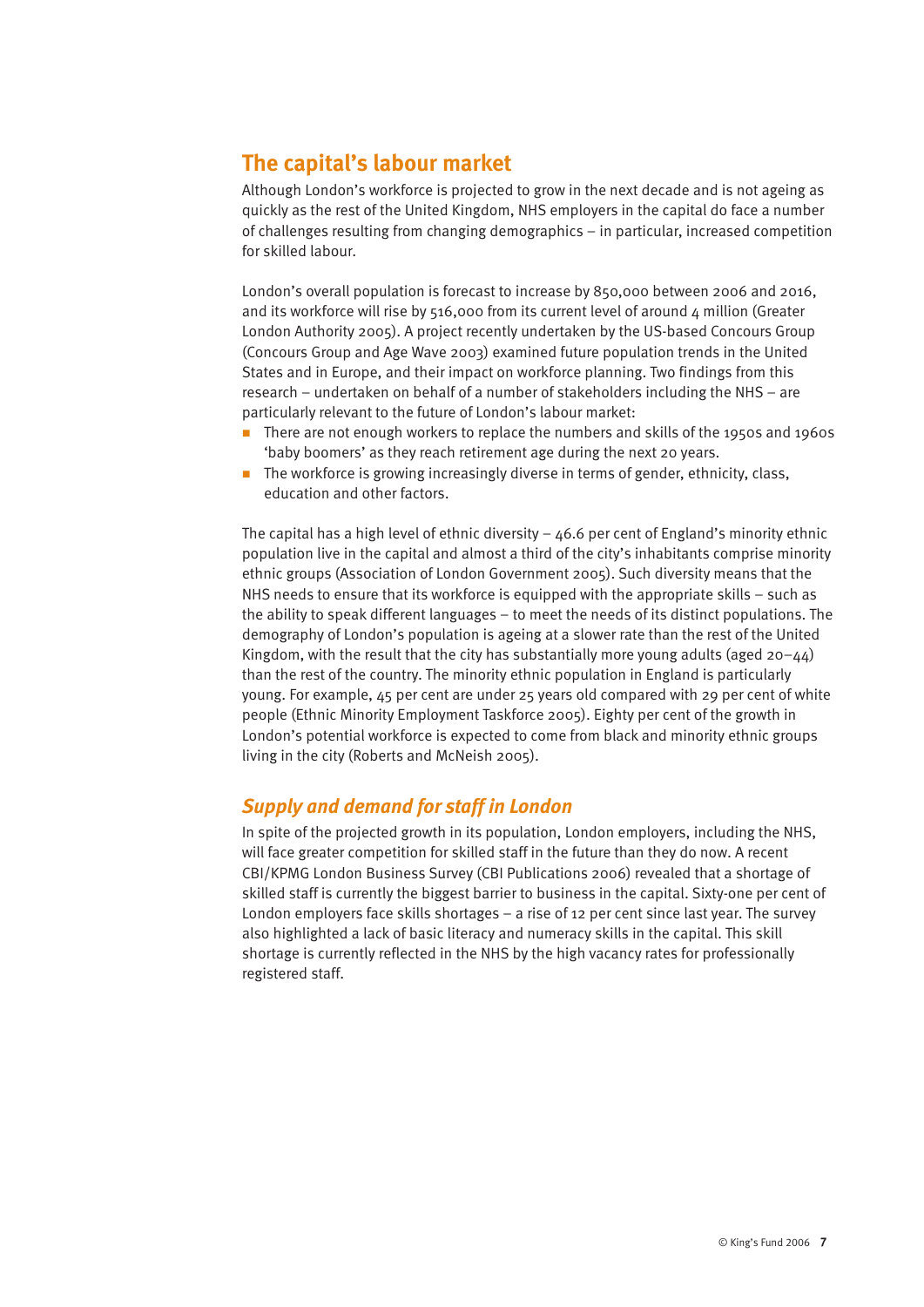# **The capital's labour market**

Although London's workforce is projected to grow in the next decade and is not ageing as quickly as the rest of the United Kingdom, NHS employers in the capital do face a number of challenges resulting from changing demographics – in particular, increased competition for skilled labour.

London's overall population is forecast to increase by 850,000 between 2006 and 2016, and its workforce will rise by  $516,000$  from its current level of around  $4$  million (Greater London Authority 2005). A project recently undertaken by the US-based Concours Group (Concours Group and Age Wave 2003) examined future population trends in the United States and in Europe, and their impact on workforce planning. Two findings from this research – undertaken on behalf of a number of stakeholders including the NHS – are particularly relevant to the future of London's labour market:

- n There are not enough workers to replace the numbers and skills of the 1950s and 1960s 'baby boomers' as they reach retirement age during the next 20 years.
- $\blacksquare$  The workforce is growing increasingly diverse in terms of gender, ethnicity, class, education and other factors.

The capital has a high level of ethnic diversity  $-46.6$  per cent of England's minority ethnic population live in the capital and almost a third of the city's inhabitants comprise minority ethnic groups (Association of London Government 2005). Such diversity means that the NHS needs to ensure that its workforce is equipped with the appropriate skills – such as the ability to speak different languages – to meet the needs of its distinct populations. The demography of London's population is ageing at a slower rate than the rest of the United Kingdom, with the result that the city has substantially more young adults (aged  $20-44$ ) than the rest of the country. The minority ethnic population in England is particularly young. For example, 45 per cent are under 25 years old compared with 29 per cent of white people (Ethnic Minority Employment Taskforce 2005). Eighty per cent of the growth in London's potential workforce is expected to come from black and minority ethnic groups living in the city (Roberts and McNeish 2005).

### *Supply and demand for staff in London*

In spite of the projected growth in its population, London employers, including the NHS, will face greater competition for skilled staff in the future than they do now. A recent CBI/KPMG London Business Survey (CBI Publications 2006) revealed that a shortage of skilled staff is currently the biggest barrier to business in the capital. Sixty-one per cent of London employers face skills shortages – a rise of 12 per cent since last year. The survey also highlighted a lack of basic literacy and numeracy skills in the capital. This skill shortage is currently reflected in the NHS by the high vacancy rates for professionally registered staff.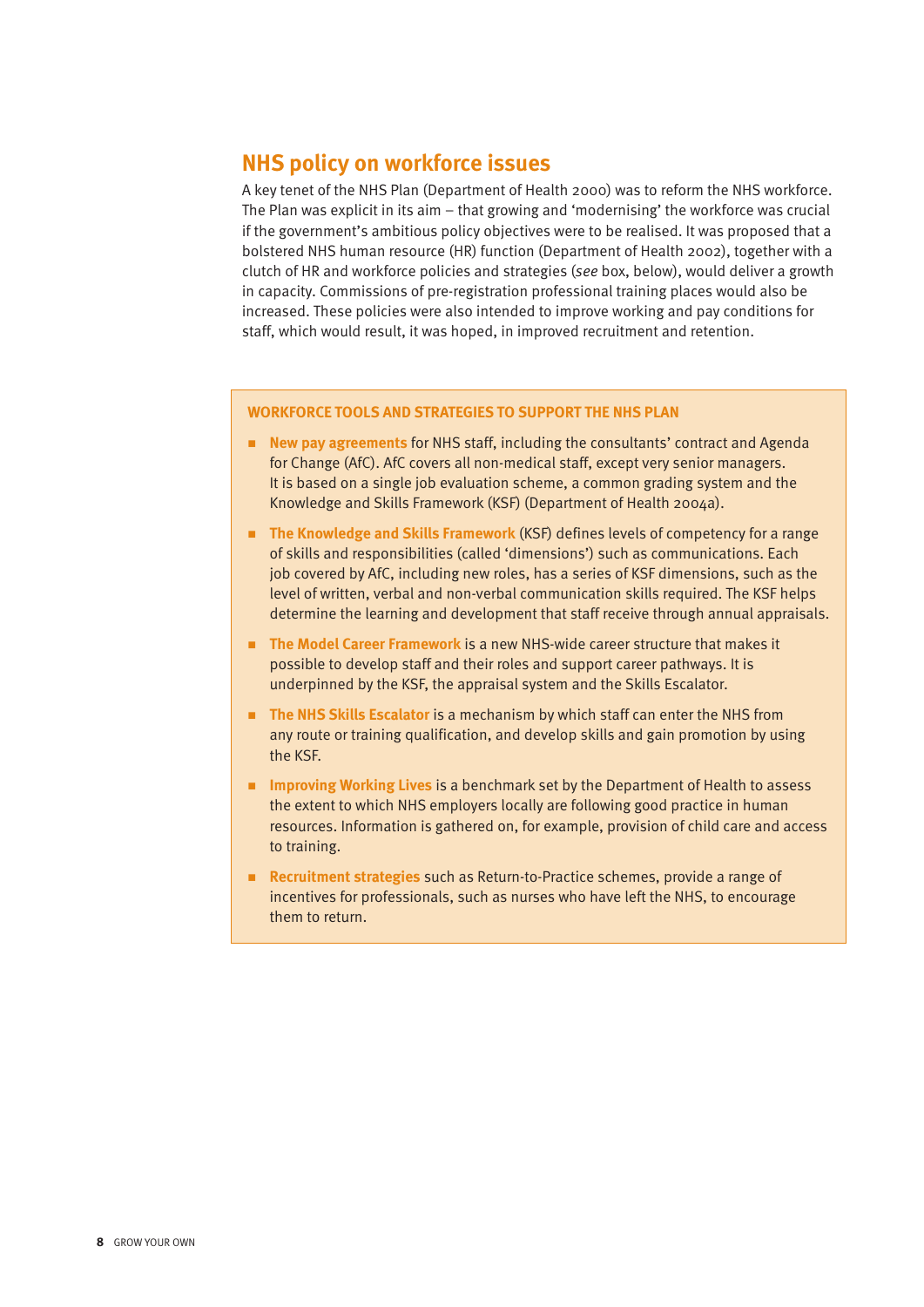## **NHS policy on workforce issues**

A key tenet of the NHS Plan (Department of Health 2000) was to reform the NHS workforce. The Plan was explicit in its aim – that growing and 'modernising' the workforce was crucial if the government's ambitious policy objectives were to be realised. It was proposed that a bolstered NHS human resource (HR) function (Department of Health 2002), together with a clutch of HR and workforce policies and strategies (*see* box, below), would deliver a growth in capacity. Commissions of pre-registration professional training places would also be increased. These policies were also intended to improve working and pay conditions for staff, which would result, it was hoped, in improved recruitment and retention.

#### **WORKFORCE TOOLS AND STRATEGIES TO SUPPORT THE NHS PLAN**

- n **New pay agreements** for NHS staff, including the consultants' contract and Agenda for Change (AfC). AfC covers all non-medical staff, except very senior managers. It is based on a single job evaluation scheme, a common grading system and the Knowledge and Skills Framework (KSF) (Department of Health 2004a).
- **n** The Knowledge and Skills Framework (KSF) defines levels of competency for a range of skills and responsibilities (called 'dimensions') such as communications. Each job covered by AfC, including new roles, has a series of KSF dimensions, such as the level of written, verbal and non-verbal communication skills required. The KSF helps determine the learning and development that staff receive through annual appraisals.
- **n** The Model Career Framework is a new NHS-wide career structure that makes it possible to develop staff and their roles and support career pathways. It is underpinned by the KSF, the appraisal system and the Skills Escalator.
- **The NHS Skills Escalator** is a mechanism by which staff can enter the NHS from any route or training qualification, and develop skills and gain promotion by using the KSF.
- **n** Improving Working Lives is a benchmark set by the Department of Health to assess the extent to which NHS employers locally are following good practice in human resources. Information is gathered on, for example, provision of child care and access to training.
- n **Recruitment strategies** such as Return-to-Practice schemes, provide a range of incentives for professionals, such as nurses who have left the NHS, to encourage them to return.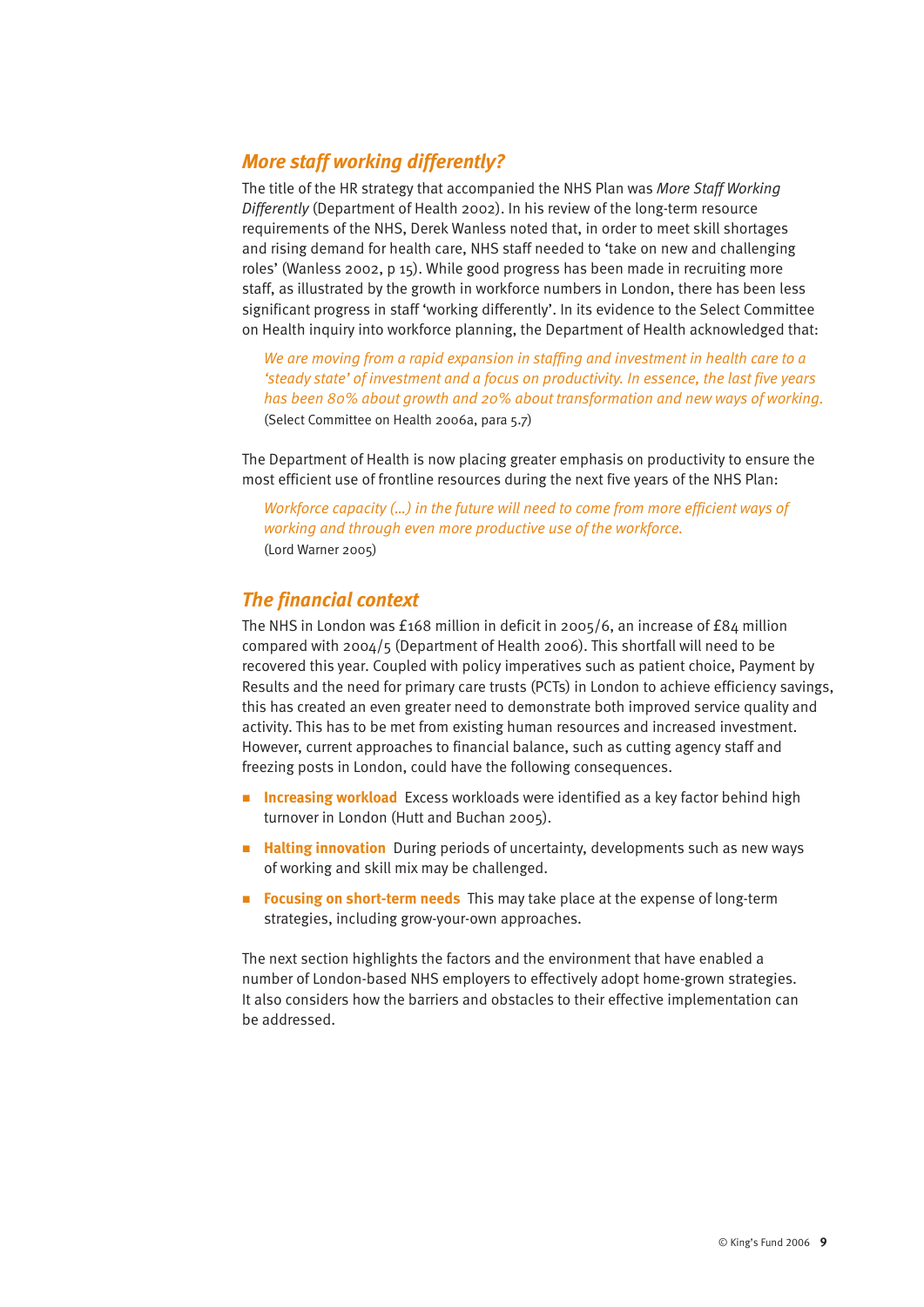### *More staff working differently?*

The title of the HR strategy that accompanied the NHS Plan was *More Staff Working Differently* (Department of Health 2002). In his review of the long-term resource requirements of the NHS, Derek Wanless noted that, in order to meet skill shortages and rising demand for health care, NHS staff needed to 'take on new and challenging roles' (Wanless 2002, p 15). While good progress has been made in recruiting more staff, as illustrated by the growth in workforce numbers in London, there has been less significant progress in staff 'working differently'. In its evidence to the Select Committee on Health inquiry into workforce planning, the Department of Health acknowledged that:

*We are moving from a rapid expansion in staffing and investment in health care to a 'steady state' of investment and a focus on productivity. In essence, the last five years has been 80% about growth and 20% about transformation and new ways of working.* (Select Committee on Health 2006a, para 5.7)

The Department of Health is now placing greater emphasis on productivity to ensure the most efficient use of frontline resources during the next five years of the NHS Plan:

*Workforce capacity (…) in the future will need to come from more efficient ways of working and through even more productive use of the workforce.* (Lord Warner 2005)

### *The financial context*

The NHS in London was £168 million in deficit in 2005/6, an increase of £84 million compared with 2004/5 (Department of Health 2006). This shortfall will need to be recovered this year. Coupled with policy imperatives such as patient choice, Payment by Results and the need for primary care trusts (PCTs) in London to achieve efficiency savings, this has created an even greater need to demonstrate both improved service quality and activity. This has to be met from existing human resources and increased investment. However, current approaches to financial balance, such as cutting agency staff and freezing posts in London, could have the following consequences.

- **Increasing workload** Excess workloads were identified as a key factor behind high turnover in London (Hutt and Buchan 2005).
- **Halting innovation** During periods of uncertainty, developments such as new ways of working and skill mix may be challenged.
- **Focusing on short-term needs** This may take place at the expense of long-term strategies, including grow-your-own approaches.

The next section highlights the factors and the environment that have enabled a number of London-based NHS employers to effectively adopt home-grown strategies. It also considers how the barriers and obstacles to their effective implementation can be addressed.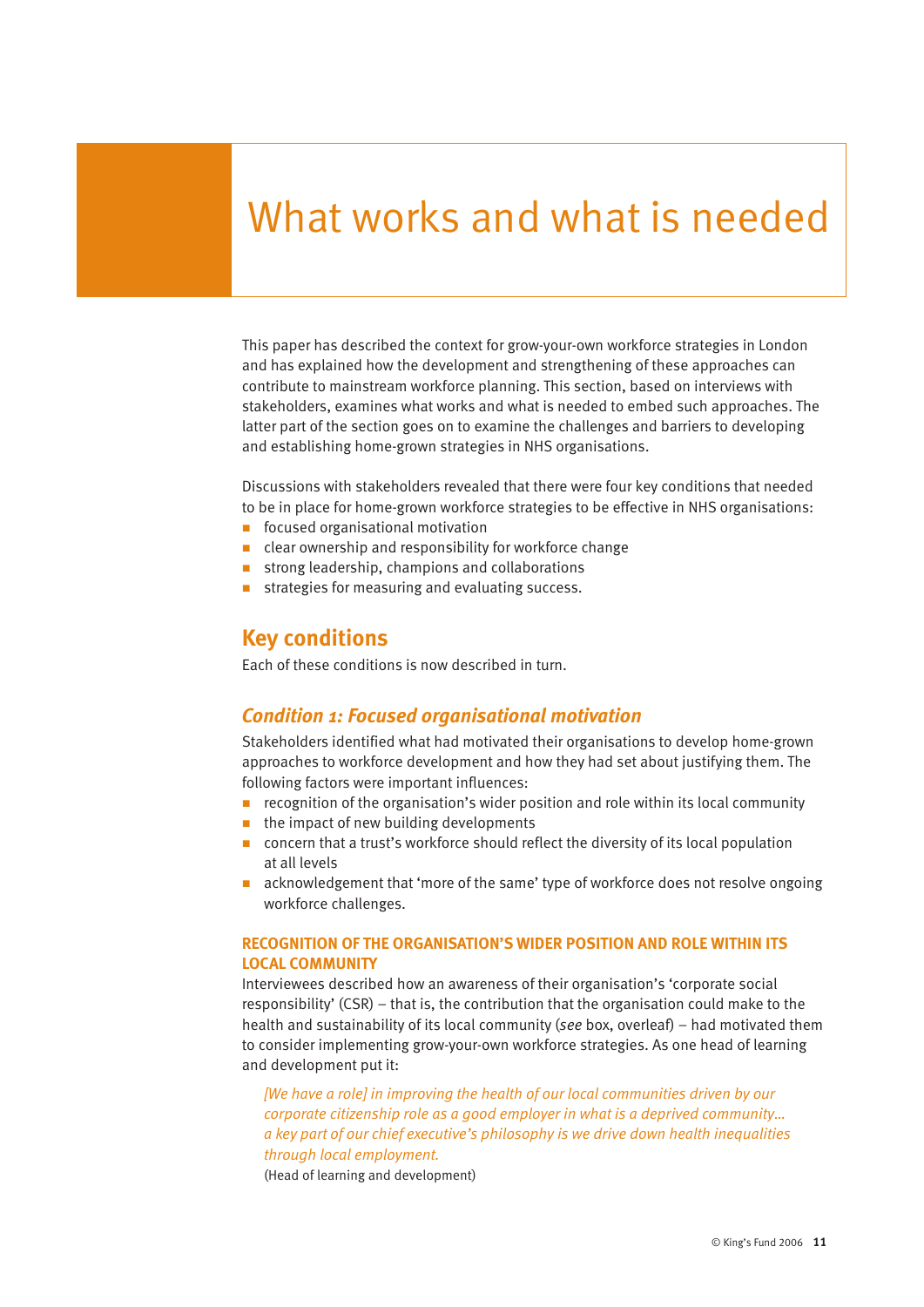# What works and what is needed

This paper has described the context for grow-your-own workforce strategies in London and has explained how the development and strengthening of these approaches can contribute to mainstream workforce planning. This section, based on interviews with stakeholders, examines what works and what is needed to embed such approaches. The latter part of the section goes on to examine the challenges and barriers to developing and establishing home-grown strategies in NHS organisations.

Discussions with stakeholders revealed that there were four key conditions that needed to be in place for home-grown workforce strategies to be effective in NHS organisations:

- $\blacksquare$  focused organisational motivation
- $\blacksquare$  clear ownership and responsibility for workforce change
- $\blacksquare$  strong leadership, champions and collaborations
- strategies for measuring and evaluating success.

### **Key conditions**

Each of these conditions is now described in turn.

#### *Condition 1: Focused organisational motivation*

Stakeholders identified what had motivated their organisations to develop home-grown approaches to workforce development and how they had set about justifying them. The following factors were important influences:

- $\blacksquare$  recognition of the organisation's wider position and role within its local community
- $\blacksquare$  the impact of new building developments
- $\blacksquare$  concern that a trust's workforce should reflect the diversity of its local population at all levels
- **n** acknowledgement that 'more of the same' type of workforce does not resolve ongoing workforce challenges.

#### **RECOGNITION OF THE ORGANISATION'S WIDER POSITION AND ROLE WITHIN ITS LOCAL COMMUNITY**

Interviewees described how an awareness of their organisation's 'corporate social responsibility' (CSR) – that is, the contribution that the organisation could make to the health and sustainability of its local community (*see* box, overleaf) – had motivated them to consider implementing grow-your-own workforce strategies. As one head of learning and development put it:

*[We have a role] in improving the health of our local communities driven by our corporate citizenship role as a good employer in what is a deprived community… a key part of our chief executive's philosophy is we drive down health inequalities through local employment.* 

(Head of learning and development)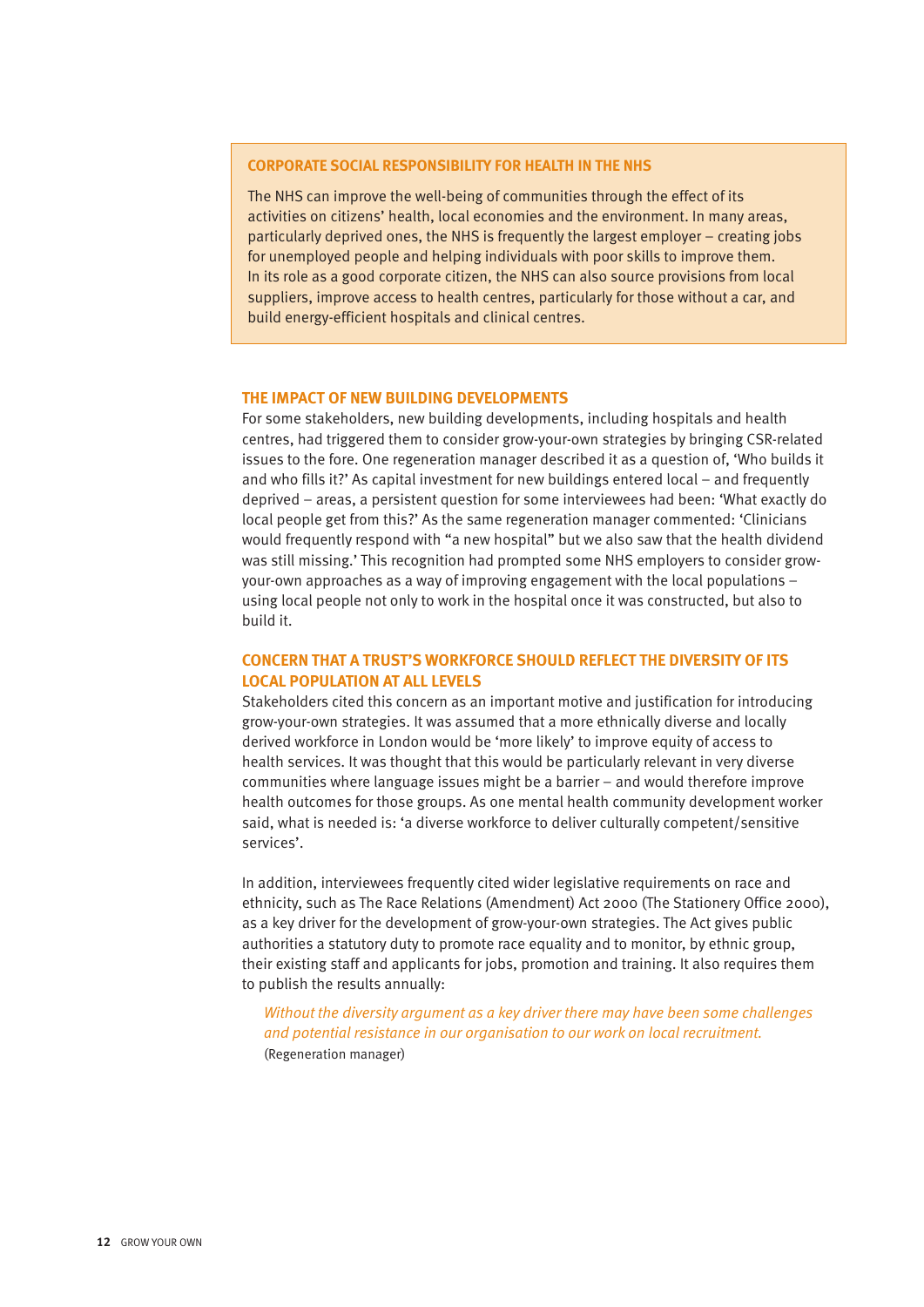#### **CORPORATE SOCIAL RESPONSIBILITY FOR HEALTH IN THE NHS**

The NHS can improve the well-being of communities through the effect of its activities on citizens' health, local economies and the environment. In many areas, particularly deprived ones, the NHS is frequently the largest employer – creating jobs for unemployed people and helping individuals with poor skills to improve them. In its role as a good corporate citizen, the NHS can also source provisions from local suppliers, improve access to health centres, particularly for those without a car, and build energy-efficient hospitals and clinical centres.

#### **THE IMPACT OF NEW BUILDING DEVELOPMENTS**

For some stakeholders, new building developments, including hospitals and health centres, had triggered them to consider grow-your-own strategies by bringing CSR-related issues to the fore. One regeneration manager described it as a question of, 'Who builds it and who fills it?' As capital investment for new buildings entered local – and frequently deprived – areas, a persistent question for some interviewees had been: 'What exactly do local people get from this?' As the same regeneration manager commented: 'Clinicians would frequently respond with "a new hospital" but we also saw that the health dividend was still missing.' This recognition had prompted some NHS employers to consider growyour-own approaches as a way of improving engagement with the local populations – using local people not only to work in the hospital once it was constructed, but also to build it.

#### **CONCERN THAT A TRUST'S WORKFORCE SHOULD REFLECT THE DIVERSITY OF ITS LOCAL POPULATION AT ALL LEVELS**

Stakeholders cited this concern as an important motive and justification for introducing grow-your-own strategies. It was assumed that a more ethnically diverse and locally derived workforce in London would be 'more likely' to improve equity of access to health services. It was thought that this would be particularly relevant in very diverse communities where language issues might be a barrier – and would therefore improve health outcomes for those groups. As one mental health community development worker said, what is needed is: 'a diverse workforce to deliver culturally competent/sensitive services'.

In addition, interviewees frequently cited wider legislative requirements on race and ethnicity, such as The Race Relations (Amendment) Act 2000 (The Stationery Office 2000), as a key driver for the development of grow-your-own strategies. The Act gives public authorities a statutory duty to promote race equality and to monitor, by ethnic group, their existing staff and applicants for jobs, promotion and training. It also requires them to publish the results annually:

*Without the diversity argument as a key driver there may have been some challenges and potential resistance in our organisation to our work on local recruitment.* (Regeneration manager)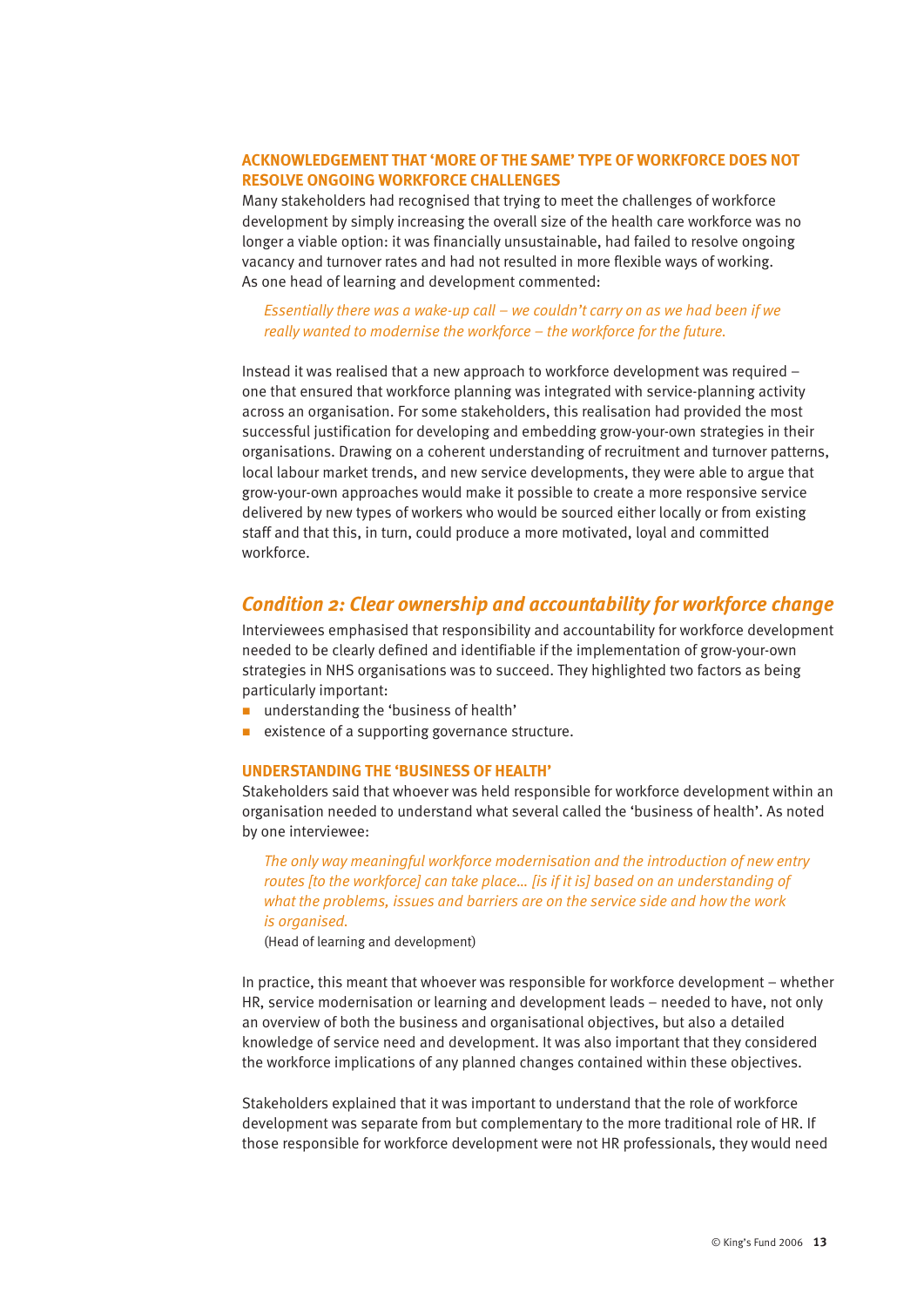#### **ACKNOWLEDGEMENT THAT 'MORE OF THE SAME' TYPE OF WORKFORCE DOES NOT RESOLVE ONGOING WORKFORCE CHALLENGES**

Many stakeholders had recognised that trying to meet the challenges of workforce development by simply increasing the overall size of the health care workforce was no longer a viable option: it was financially unsustainable, had failed to resolve ongoing vacancy and turnover rates and had not resulted in more flexible ways of working. As one head of learning and development commented:

#### *Essentially there was a wake-up call – we couldn't carry on as we had been if we really wanted to modernise the workforce – the workforce for the future.*

Instead it was realised that a new approach to workforce development was required – one that ensured that workforce planning was integrated with service-planning activity across an organisation. For some stakeholders, this realisation had provided the most successful justification for developing and embedding grow-your-own strategies in their organisations. Drawing on a coherent understanding of recruitment and turnover patterns, local labour market trends, and new service developments, they were able to argue that grow-your-own approaches would make it possible to create a more responsive service delivered by new types of workers who would be sourced either locally or from existing staff and that this, in turn, could produce a more motivated, loyal and committed workforce.

#### *Condition 2: Clear ownership and accountability for workforce change*

Interviewees emphasised that responsibility and accountability for workforce development needed to be clearly defined and identifiable if the implementation of grow-your-own strategies in NHS organisations was to succeed. They highlighted two factors as being particularly important:

- understanding the 'business of health'
- existence of a supporting governance structure.

#### **UNDERSTANDING THE 'BUSINESS OF HEALTH'**

Stakeholders said that whoever was held responsible for workforce development within an organisation needed to understand what several called the 'business of health'. As noted by one interviewee:

*The only way meaningful workforce modernisation and the introduction of new entry routes [to the workforce] can take place… [is if it is] based on an understanding of what the problems, issues and barriers are on the service side and how the work is organised.*

(Head of learning and development)

In practice, this meant that whoever was responsible for workforce development – whether HR, service modernisation or learning and development leads – needed to have, not only an overview of both the business and organisational objectives, but also a detailed knowledge of service need and development. It was also important that they considered the workforce implications of any planned changes contained within these objectives.

Stakeholders explained that it was important to understand that the role of workforce development was separate from but complementary to the more traditional role of HR. If those responsible for workforce development were not HR professionals, they would need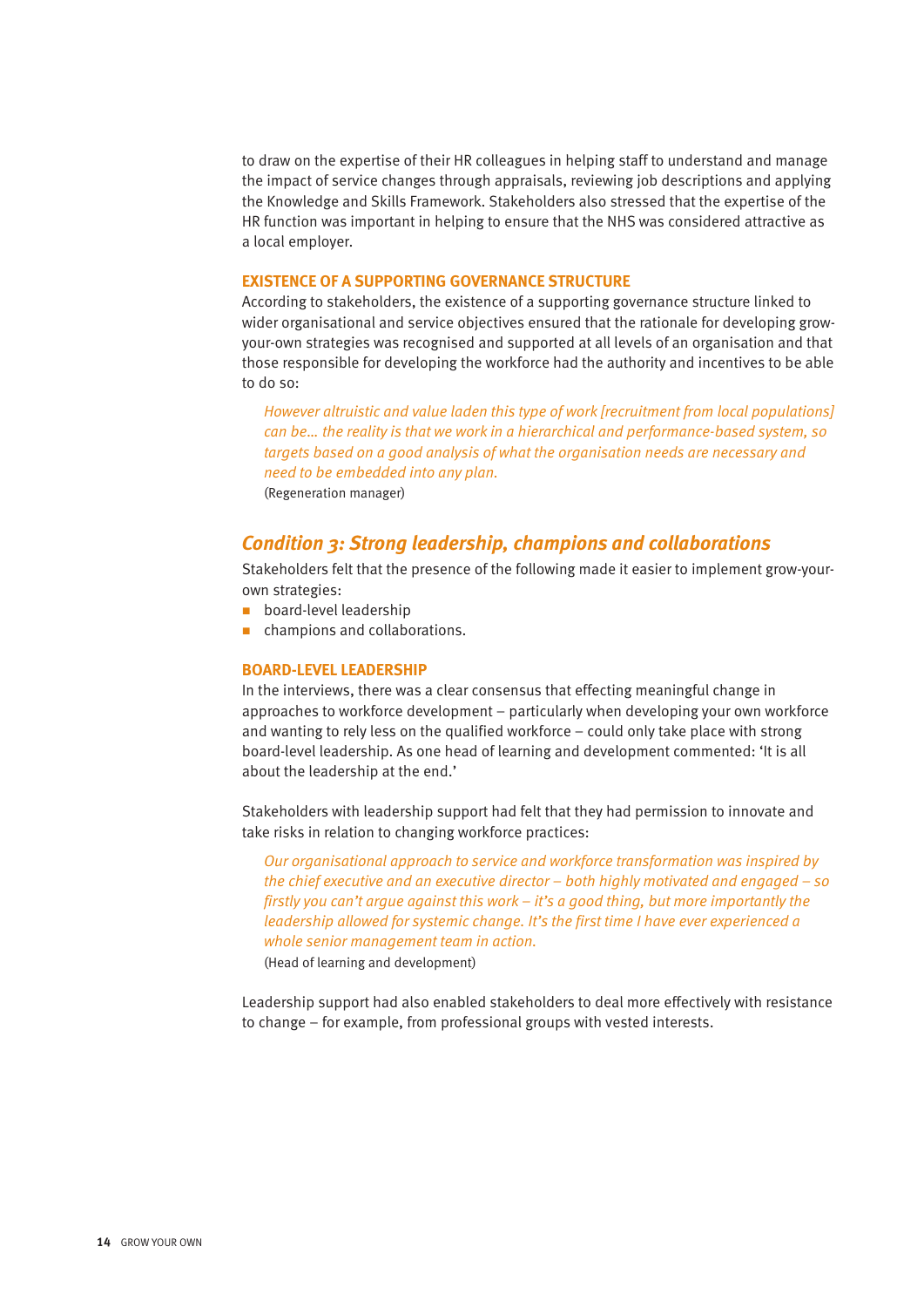to draw on the expertise of their HR colleagues in helping staff to understand and manage the impact of service changes through appraisals, reviewing job descriptions and applying the Knowledge and Skills Framework. Stakeholders also stressed that the expertise of the HR function was important in helping to ensure that the NHS was considered attractive as a local employer.

#### **EXISTENCE OF A SUPPORTING GOVERNANCE STRUCTURE**

According to stakeholders, the existence of a supporting governance structure linked to wider organisational and service objectives ensured that the rationale for developing growyour-own strategies was recognised and supported at all levels of an organisation and that those responsible for developing the workforce had the authority and incentives to be able to do so:

*However altruistic and value laden this type of work [recruitment from local populations] can be… the reality is that we work in a hierarchical and performance-based system, so targets based on a good analysis of what the organisation needs are necessary and need to be embedded into any plan.*

(Regeneration manager)

#### *Condition 3: Strong leadership, champions and collaborations*

Stakeholders felt that the presence of the following made it easier to implement grow-yourown strategies:

- $\blacksquare$  board-level leadership
- n champions and collaborations.

#### **BOARD-LEVEL LEADERSHIP**

In the interviews, there was a clear consensus that effecting meaningful change in approaches to workforce development – particularly when developing your own workforce and wanting to rely less on the qualified workforce  $-$  could only take place with strong board-level leadership. As one head of learning and development commented: 'It is all about the leadership at the end.'

Stakeholders with leadership support had felt that they had permission to innovate and take risks in relation to changing workforce practices:

*Our organisational approach to service and workforce transformation was inspired by the chief executive and an executive director – both highly motivated and engaged – so firstly you can't argue against this work – it's a good thing, but more importantly the leadership allowed for systemic change. It's the first time I have ever experienced a whole senior management team in action.* 

(Head of learning and development)

Leadership support had also enabled stakeholders to deal more effectively with resistance to change – for example, from professional groups with vested interests.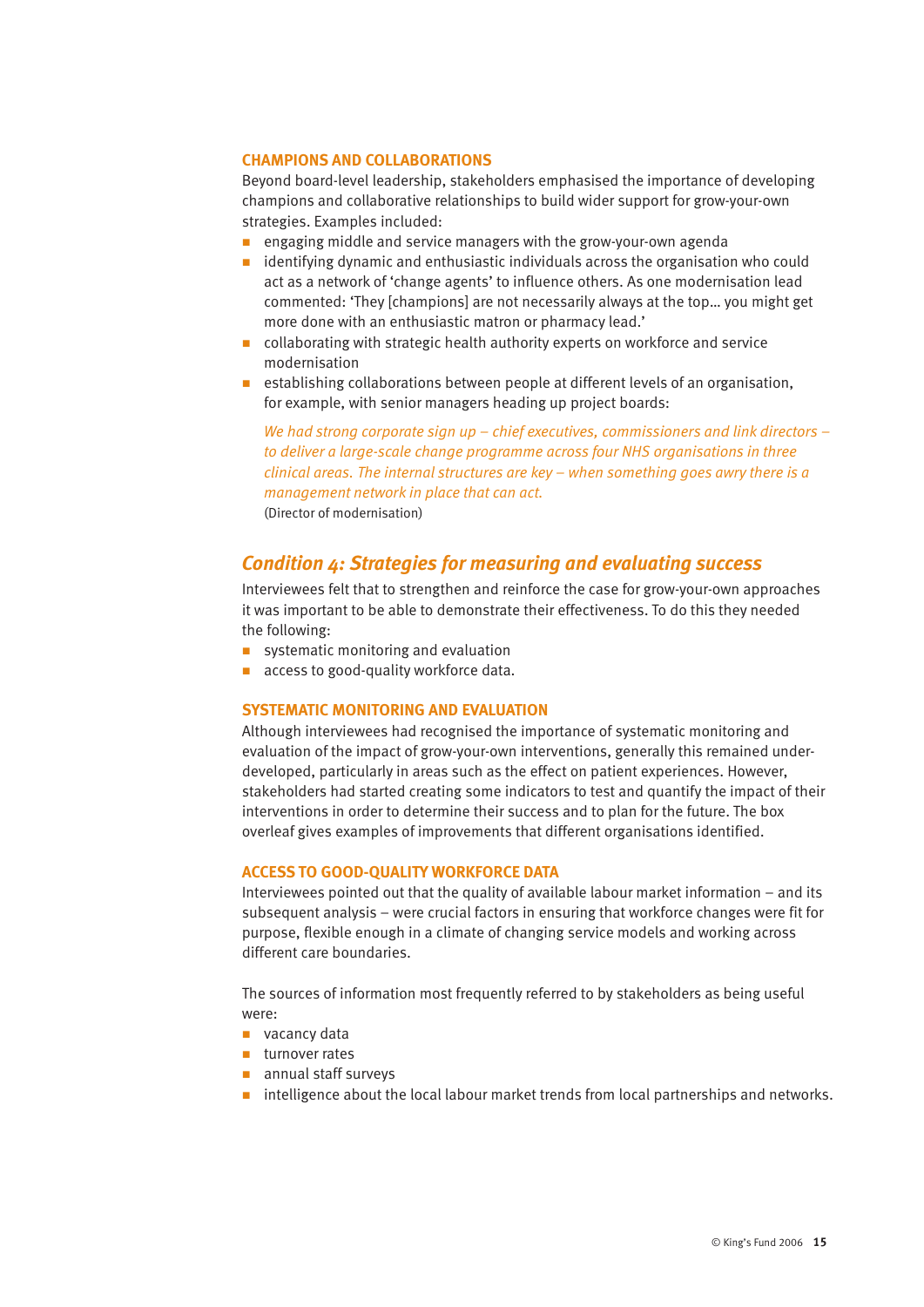#### **CHAMPIONS AND COLLABORATIONS**

Beyond board-level leadership, stakeholders emphasised the importance of developing champions and collaborative relationships to build wider support for grow-your-own strategies. Examples included:

- **n** engaging middle and service managers with the grow-your-own agenda
- $\blacksquare$  identifying dynamic and enthusiastic individuals across the organisation who could act as a network of 'change agents' to influence others. As one modernisation lead commented: 'They [champions] are not necessarily always at the top… you might get more done with an enthusiastic matron or pharmacy lead.'
- collaborating with strategic health authority experts on workforce and service modernisation
- establishing collaborations between people at different levels of an organisation, for example, with senior managers heading up project boards:

*We had strong corporate sign up – chief executives, commissioners and link directors – to deliver a large-scale change programme across four NHS organisations in three clinical areas. The internal structures are key – when something goes awry there is a management network in place that can act.*  (Director of modernisation)

#### *Condition 4: Strategies for measuring and evaluating success*

Interviewees felt that to strengthen and reinforce the case for grow-your-own approaches it was important to be able to demonstrate their effectiveness. To do this they needed the following:

- systematic monitoring and evaluation
- access to good-quality workforce data.

#### **SYSTEMATIC MONITORING AND EVALUATION**

Although interviewees had recognised the importance of systematic monitoring and evaluation of the impact of grow-your-own interventions, generally this remained underdeveloped, particularly in areas such as the effect on patient experiences. However, stakeholders had started creating some indicators to test and quantify the impact of their interventions in order to determine their success and to plan for the future. The box overleaf gives examples of improvements that different organisations identified.

#### **ACCESS TO GOOD-QUALITY WORKFORCE DATA**

Interviewees pointed out that the quality of available labour market information – and its subsequent analysis – were crucial factors in ensuring that workforce changes were fit for purpose, flexible enough in a climate of changing service models and working across different care boundaries.

The sources of information most frequently referred to by stakeholders as being useful were:

- $\blacksquare$  vacancy data
- $\blacksquare$  turnover rates
- $\blacksquare$  annual staff surveys
- n intelligence about the local labour market trends from local partnerships and networks.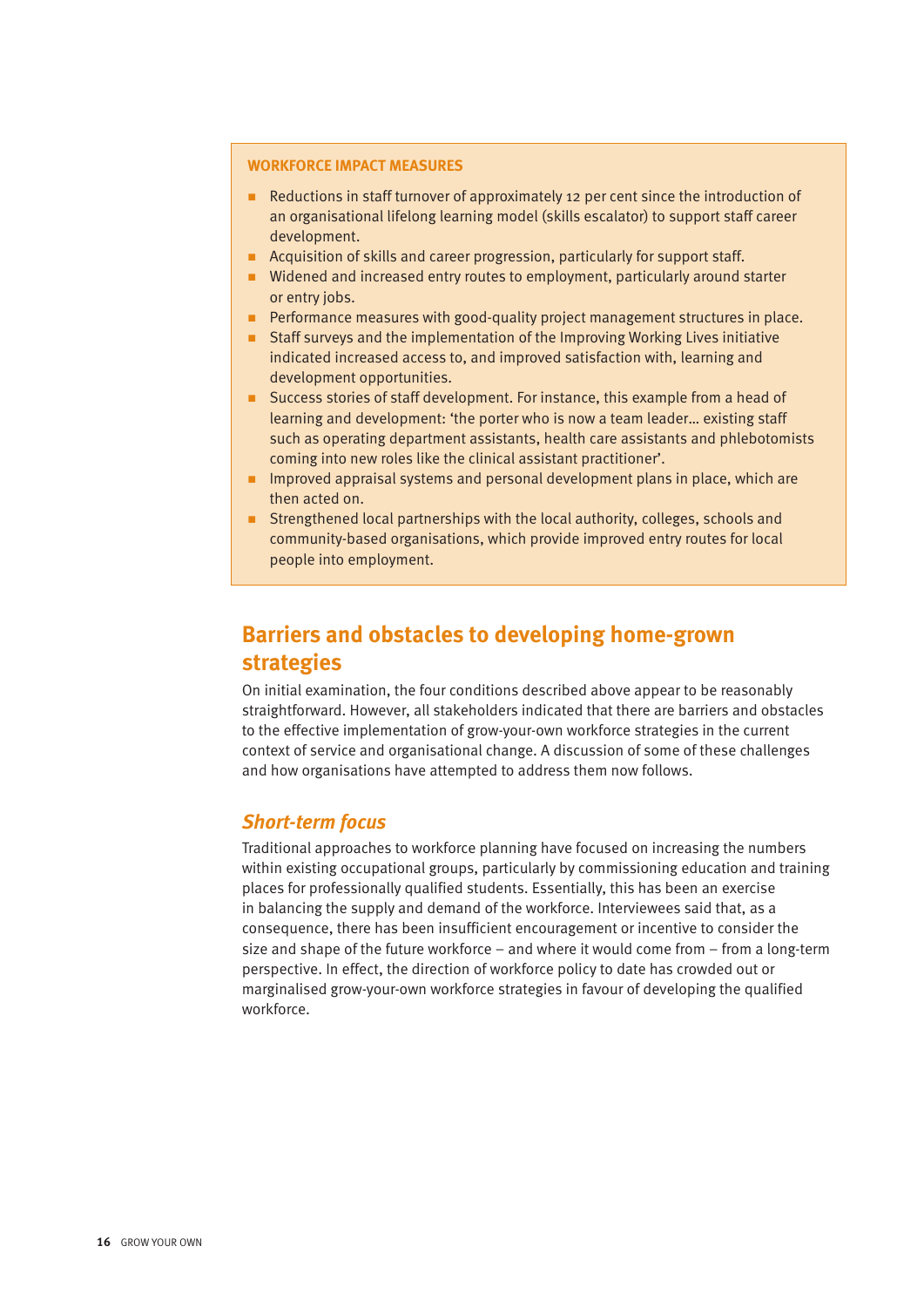#### **WORKFORCE IMPACT MEASURES**

- $\blacksquare$  Reductions in staff turnover of approximately 12 per cent since the introduction of an organisational lifelong learning model (skills escalator) to support staff career development.
- n Acquisition of skills and career progression, particularly for support staff.
- Widened and increased entry routes to employment, particularly around starter or entry jobs.
- n Performance measures with good-quality project management structures in place.
- n Staff surveys and the implementation of the Improving Working Lives initiative indicated increased access to, and improved satisfaction with, learning and development opportunities.
- Success stories of staff development. For instance, this example from a head of learning and development: 'the porter who is now a team leader… existing staff such as operating department assistants, health care assistants and phlebotomists coming into new roles like the clinical assistant practitioner'.
- n Improved appraisal systems and personal development plans in place, which are then acted on.
- Strengthened local partnerships with the local authority, colleges, schools and community-based organisations, which provide improved entry routes for local people into employment.

# **Barriers and obstacles to developing home-grown strategies**

On initial examination, the four conditions described above appear to be reasonably straightforward. However, all stakeholders indicated that there are barriers and obstacles to the effective implementation of grow-your-own workforce strategies in the current context of service and organisational change. A discussion of some of these challenges and how organisations have attempted to address them now follows.

#### *Short-term focus*

Traditional approaches to workforce planning have focused on increasing the numbers within existing occupational groups, particularly by commissioning education and training places for professionally qualified students. Essentially, this has been an exercise in balancing the supply and demand of the workforce. Interviewees said that, as a consequence, there has been insufficient encouragement or incentive to consider the size and shape of the future workforce – and where it would come from – from a long-term perspective. In effect, the direction of workforce policy to date has crowded out or marginalised grow-your-own workforce strategies in favour of developing the qualified workforce.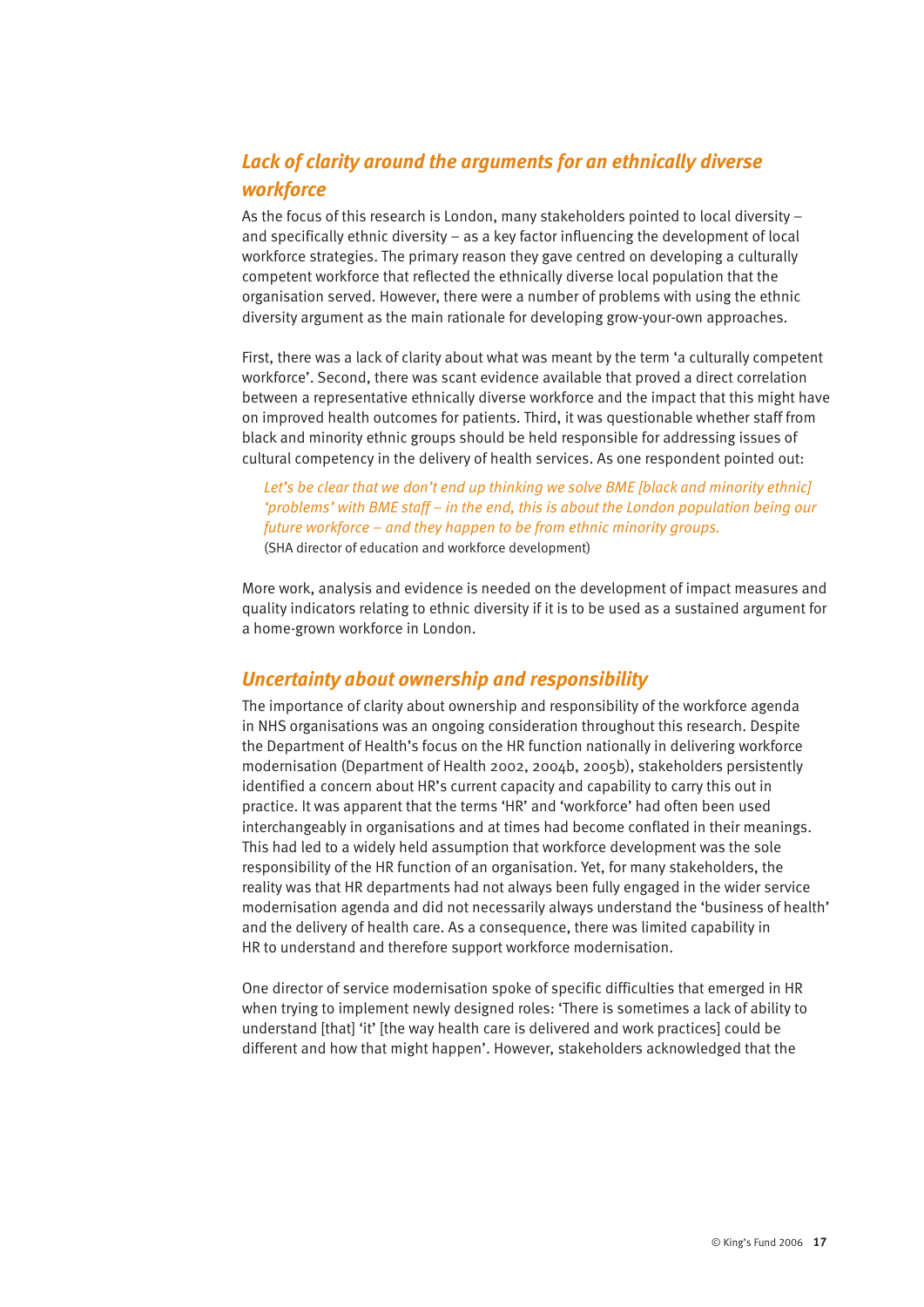## *Lack of clarity around the arguments for an ethnically diverse workforce*

As the focus of this research is London, many stakeholders pointed to local diversity – and specifically ethnic diversity – as a key factor influencing the development of local workforce strategies. The primary reason they gave centred on developing a culturally competent workforce that reflected the ethnically diverse local population that the organisation served. However, there were a number of problems with using the ethnic diversity argument as the main rationale for developing grow-your-own approaches.

First, there was a lack of clarity about what was meant by the term 'a culturally competent workforce'. Second, there was scant evidence available that proved a direct correlation between a representative ethnically diverse workforce and the impact that this might have on improved health outcomes for patients. Third, it was questionable whether staff from black and minority ethnic groups should be held responsible for addressing issues of cultural competency in the delivery of health services. As one respondent pointed out:

*Let's be clear that we don't end up thinking we solve BME [black and minority ethnic] 'problems' with BME staff – in the end, this is about the London population being our future workforce – and they happen to be from ethnic minority groups.*  (SHA director of education and workforce development)

More work, analysis and evidence is needed on the development of impact measures and quality indicators relating to ethnic diversity if it is to be used as a sustained argument for a home-grown workforce in London.

#### *Uncertainty about ownership and responsibility*

The importance of clarity about ownership and responsibility of the workforce agenda in NHS organisations was an ongoing consideration throughout this research. Despite the Department of Health's focus on the HR function nationally in delivering workforce modernisation (Department of Health 2002, 2004b, 2005b), stakeholders persistently identified a concern about HR's current capacity and capability to carry this out in practice. It was apparent that the terms 'HR' and 'workforce' had often been used interchangeably in organisations and at times had become conflated in their meanings. This had led to a widely held assumption that workforce development was the sole responsibility of the HR function of an organisation. Yet, for many stakeholders, the reality was that HR departments had not always been fully engaged in the wider service modernisation agenda and did not necessarily always understand the 'business of health' and the delivery of health care. As a consequence, there was limited capability in HR to understand and therefore support workforce modernisation.

One director of service modernisation spoke of specific difficulties that emerged in HR when trying to implement newly designed roles: 'There is sometimes a lack of ability to understand [that] 'it' [the way health care is delivered and work practices] could be different and how that might happen'. However, stakeholders acknowledged that the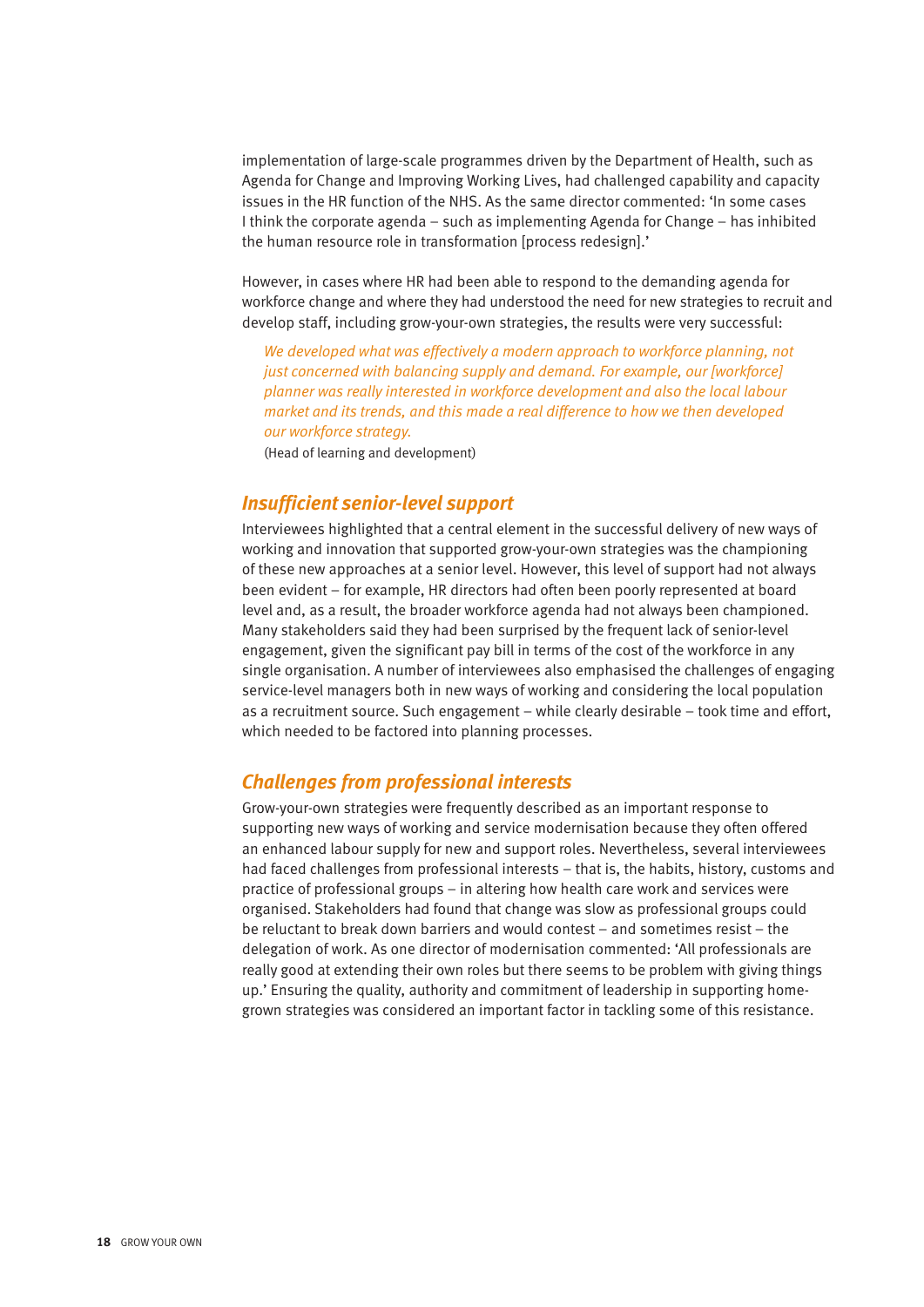implementation of large-scale programmes driven by the Department of Health, such as Agenda for Change and Improving Working Lives, had challenged capability and capacity issues in the HR function of the NHS. As the same director commented: 'In some cases I think the corporate agenda – such as implementing Agenda for Change – has inhibited the human resource role in transformation [process redesign].'

However, in cases where HR had been able to respond to the demanding agenda for workforce change and where they had understood the need for new strategies to recruit and develop staff, including grow-your-own strategies, the results were very successful:

*We developed what was effectively a modern approach to workforce planning, not just concerned with balancing supply and demand. For example, our [workforce] planner was really interested in workforce development and also the local labour market and its trends, and this made a real difference to how we then developed our workforce strategy.*

(Head of learning and development)

#### *Insufficient senior-level support*

Interviewees highlighted that a central element in the successful delivery of new ways of working and innovation that supported grow-your-own strategies was the championing of these new approaches at a senior level. However, this level of support had not always been evident – for example, HR directors had often been poorly represented at board level and, as a result, the broader workforce agenda had not always been championed. Many stakeholders said they had been surprised by the frequent lack of senior-level engagement, given the significant pay bill in terms of the cost of the workforce in any single organisation. A number of interviewees also emphasised the challenges of engaging service-level managers both in new ways of working and considering the local population as a recruitment source. Such engagement – while clearly desirable – took time and effort, which needed to be factored into planning processes.

#### *Challenges from professional interests*

Grow-your-own strategies were frequently described as an important response to supporting new ways of working and service modernisation because they often offered an enhanced labour supply for new and support roles. Nevertheless, several interviewees had faced challenges from professional interests – that is, the habits, history, customs and practice of professional groups – in altering how health care work and services were organised. Stakeholders had found that change was slow as professional groups could be reluctant to break down barriers and would contest – and sometimes resist – the delegation of work. As one director of modernisation commented: 'All professionals are really good at extending their own roles but there seems to be problem with giving things up.' Ensuring the quality, authority and commitment of leadership in supporting homegrown strategies was considered an important factor in tackling some of this resistance.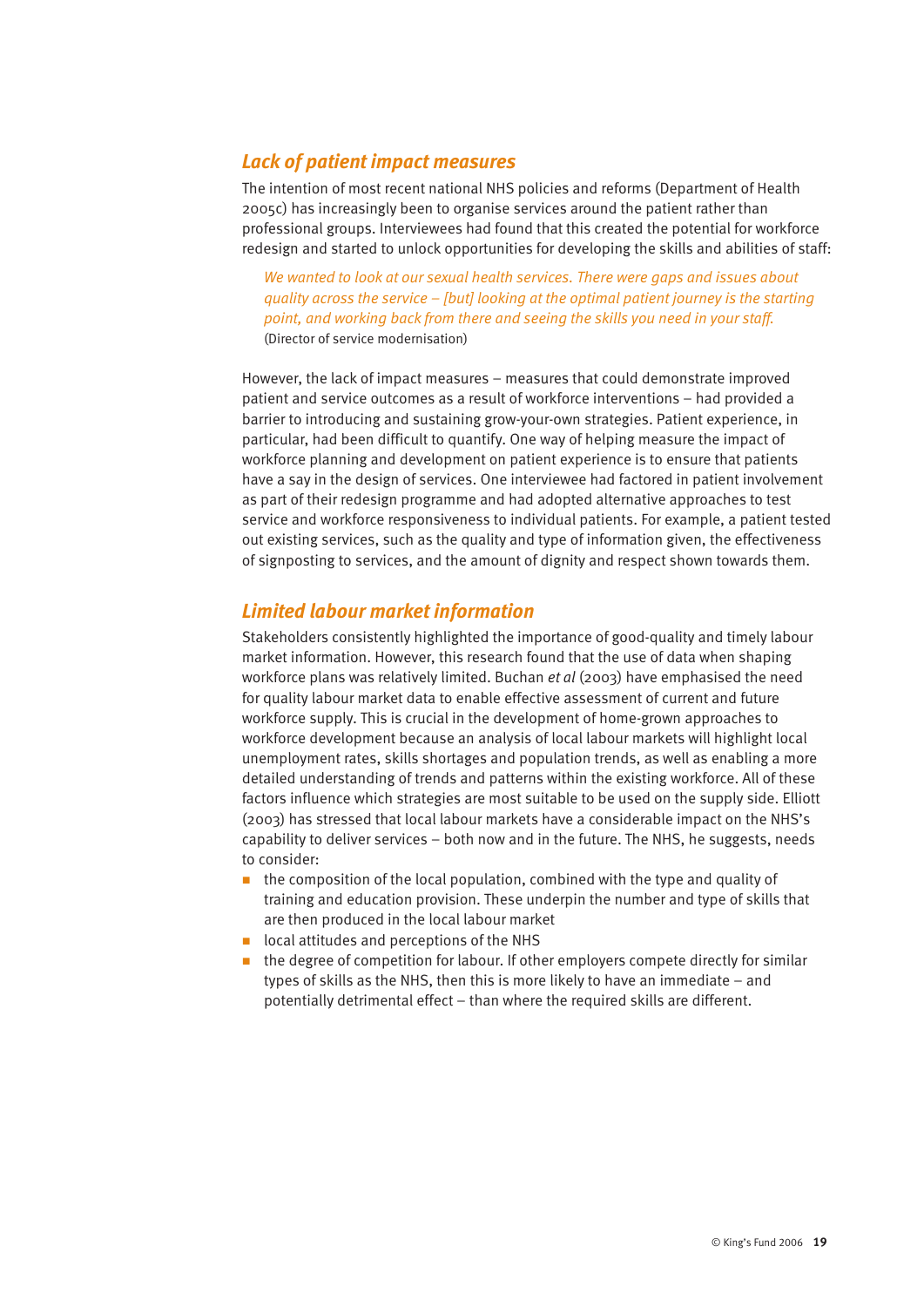### *Lack of patient impact measures*

The intention of most recent national NHS policies and reforms (Department of Health 2005c) has increasingly been to organise services around the patient rather than professional groups. Interviewees had found that this created the potential for workforce redesign and started to unlock opportunities for developing the skills and abilities of staff:

*We wanted to look at our sexual health services. There were gaps and issues about quality across the service – [but] looking at the optimal patient journey is the starting point, and working back from there and seeing the skills you need in your staff.*  (Director of service modernisation)

However, the lack of impact measures – measures that could demonstrate improved patient and service outcomes as a result of workforce interventions – had provided a barrier to introducing and sustaining grow-your-own strategies. Patient experience, in particular, had been difficult to quantify. One way of helping measure the impact of workforce planning and development on patient experience is to ensure that patients have a say in the design of services. One interviewee had factored in patient involvement as part of their redesign programme and had adopted alternative approaches to test service and workforce responsiveness to individual patients. For example, a patient tested out existing services, such as the quality and type of information given, the effectiveness of signposting to services, and the amount of dignity and respect shown towards them.

#### *Limited labour market information*

Stakeholders consistently highlighted the importance of good-quality and timely labour market information. However, this research found that the use of data when shaping workforce plans was relatively limited. Buchan *et al* (2003) have emphasised the need for quality labour market data to enable effective assessment of current and future workforce supply. This is crucial in the development of home-grown approaches to workforce development because an analysis of local labour markets will highlight local unemployment rates, skills shortages and population trends, as well as enabling a more detailed understanding of trends and patterns within the existing workforce. All of these factors influence which strategies are most suitable to be used on the supply side. Elliott (2003) has stressed that local labour markets have a considerable impact on the NHS's capability to deliver services – both now and in the future. The NHS, he suggests, needs to consider:

- $\blacksquare$  the composition of the local population, combined with the type and quality of training and education provision. These underpin the number and type of skills that are then produced in the local labour market
- $\blacksquare$  local attitudes and perceptions of the NHS
- $\blacksquare$  the degree of competition for labour. If other employers compete directly for similar types of skills as the NHS, then this is more likely to have an immediate – and potentially detrimental effect – than where the required skills are different.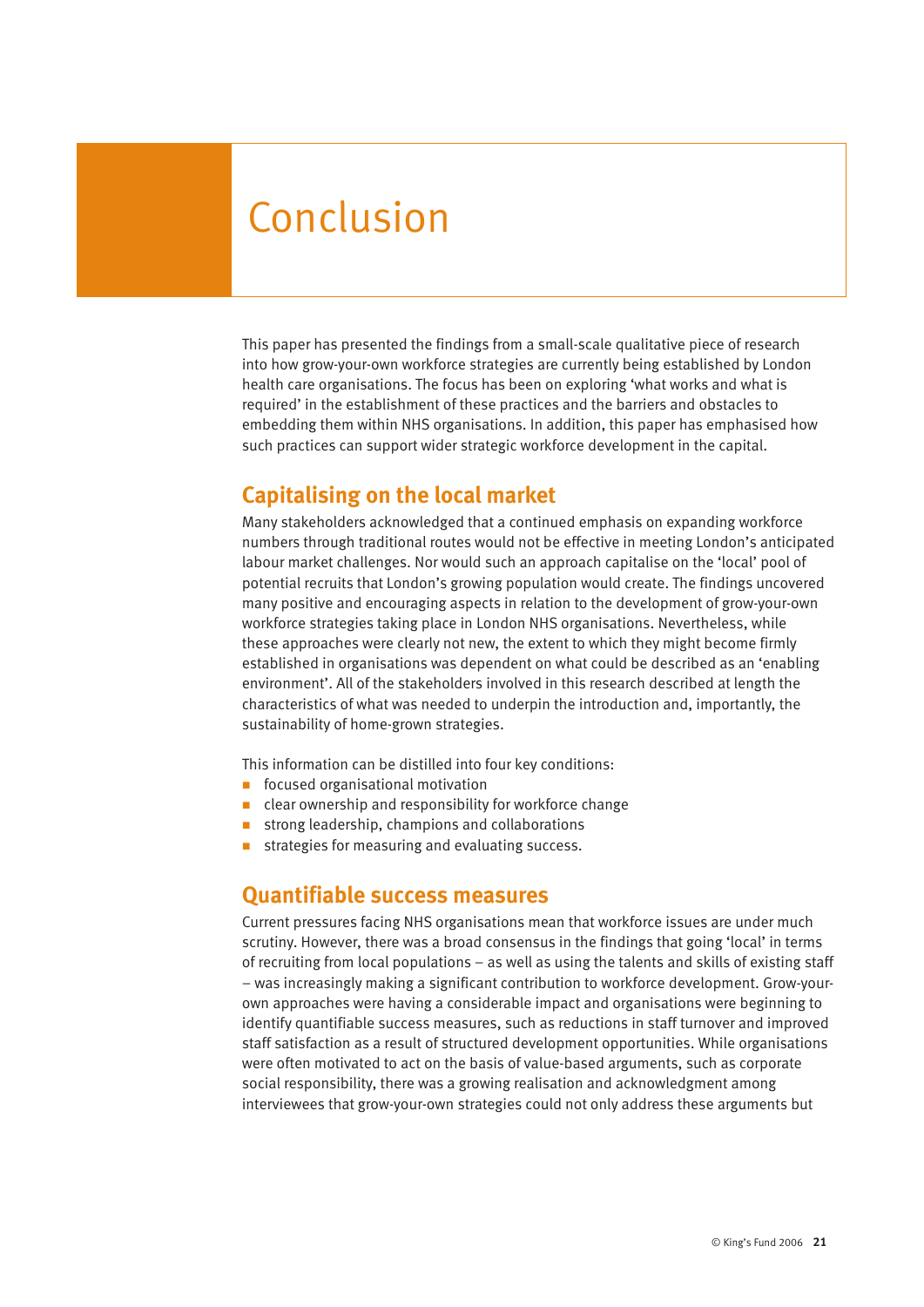# Conclusion

This paper has presented the findings from a small-scale qualitative piece of research into how grow-your-own workforce strategies are currently being established by London health care organisations. The focus has been on exploring 'what works and what is required' in the establishment of these practices and the barriers and obstacles to embedding them within NHS organisations. In addition, this paper has emphasised how such practices can support wider strategic workforce development in the capital.

### **Capitalising on the local market**

Many stakeholders acknowledged that a continued emphasis on expanding workforce numbers through traditional routes would not be effective in meeting London's anticipated labour market challenges. Nor would such an approach capitalise on the 'local' pool of potential recruits that London's growing population would create. The findings uncovered many positive and encouraging aspects in relation to the development of grow-your-own workforce strategies taking place in London NHS organisations. Nevertheless, while these approaches were clearly not new, the extent to which they might become firmly established in organisations was dependent on what could be described as an 'enabling environment'. All of the stakeholders involved in this research described at length the characteristics of what was needed to underpin the introduction and, importantly, the sustainability of home-grown strategies.

This information can be distilled into four key conditions:

- $\blacksquare$  focused organisational motivation
- $\blacksquare$  clear ownership and responsibility for workforce change
- strong leadership, champions and collaborations
- strategies for measuring and evaluating success.

#### **Quantifiable success measures**

Current pressures facing NHS organisations mean that workforce issues are under much scrutiny. However, there was a broad consensus in the findings that going 'local' in terms of recruiting from local populations – as well as using the talents and skills of existing staff – was increasingly making a significant contribution to workforce development. Grow-yourown approaches were having a considerable impact and organisations were beginning to identify quantifiable success measures, such as reductions in staff turnover and improved staff satisfaction as a result of structured development opportunities. While organisations were often motivated to act on the basis of value-based arguments, such as corporate social responsibility, there was a growing realisation and acknowledgment among interviewees that grow-your-own strategies could not only address these arguments but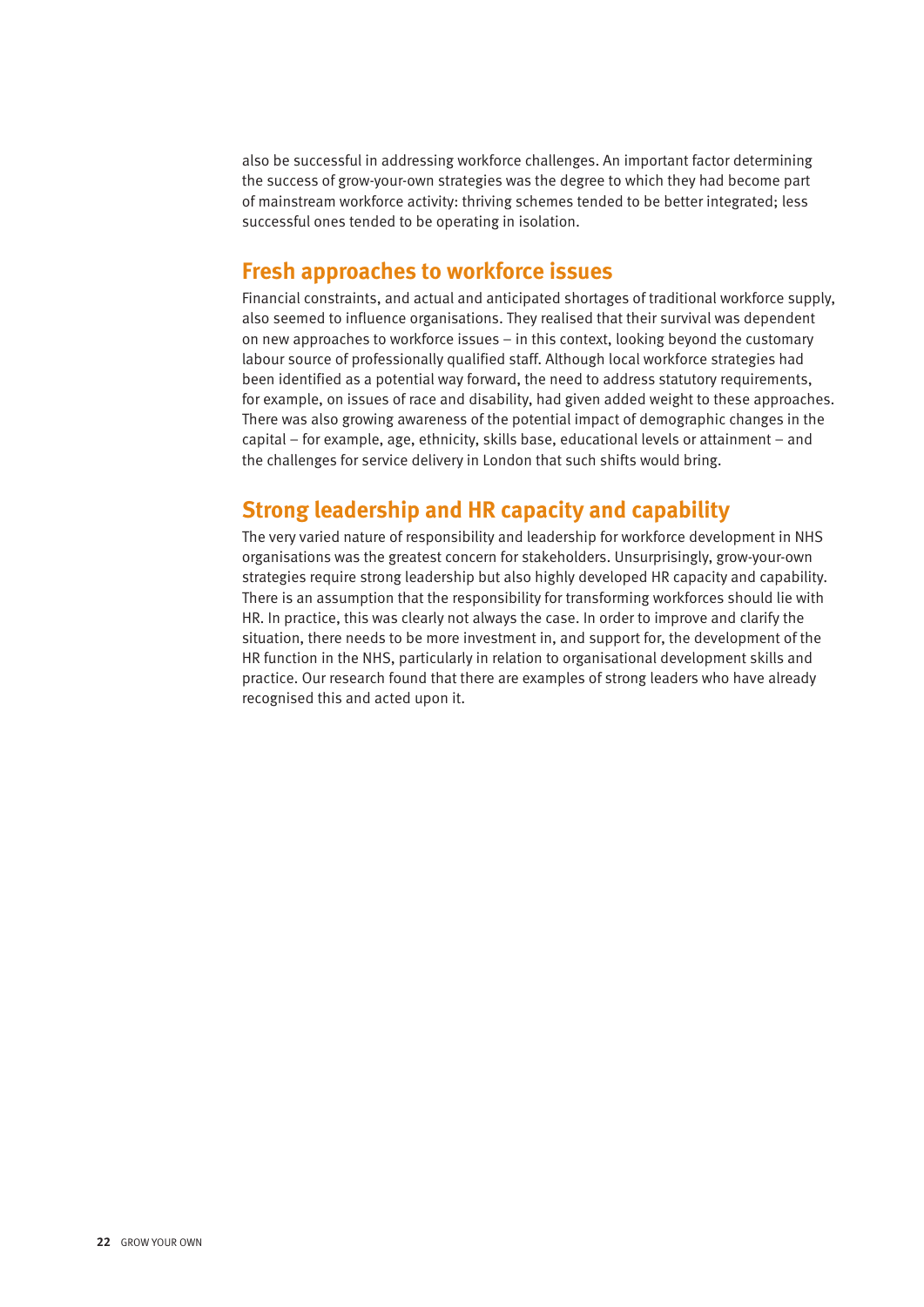also be successful in addressing workforce challenges. An important factor determining the success of grow-your-own strategies was the degree to which they had become part of mainstream workforce activity: thriving schemes tended to be better integrated; less successful ones tended to be operating in isolation.

### **Fresh approaches to workforce issues**

Financial constraints, and actual and anticipated shortages of traditional workforce supply, also seemed to influence organisations. They realised that their survival was dependent on new approaches to workforce issues – in this context, looking beyond the customary labour source of professionally qualified staff. Although local workforce strategies had been identified as a potential way forward, the need to address statutory requirements, for example, on issues of race and disability, had given added weight to these approaches. There was also growing awareness of the potential impact of demographic changes in the capital – for example, age, ethnicity, skills base, educational levels or attainment – and the challenges for service delivery in London that such shifts would bring.

# **Strong leadership and HR capacity and capability**

The very varied nature of responsibility and leadership for workforce development in NHS organisations was the greatest concern for stakeholders. Unsurprisingly, grow-your-own strategies require strong leadership but also highly developed HR capacity and capability. There is an assumption that the responsibility for transforming workforces should lie with HR. In practice, this was clearly not always the case. In order to improve and clarify the situation, there needs to be more investment in, and support for, the development of the HR function in the NHS, particularly in relation to organisational development skills and practice. Our research found that there are examples of strong leaders who have already recognised this and acted upon it.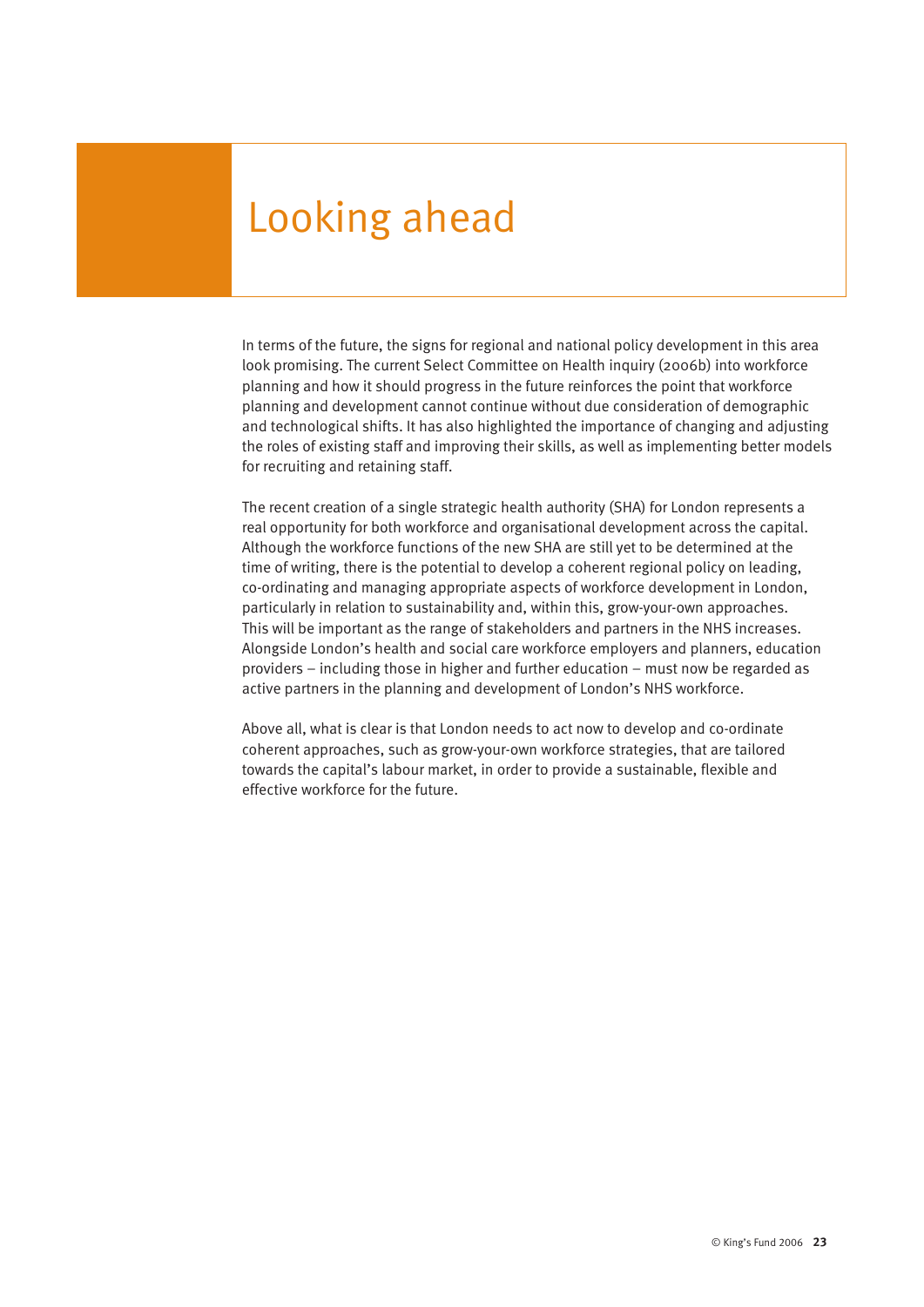# Looking ahead

In terms of the future, the signs for regional and national policy development in this area look promising. The current Select Committee on Health inquiry (2006b) into workforce planning and how it should progress in the future reinforces the point that workforce planning and development cannot continue without due consideration of demographic and technological shifts. It has also highlighted the importance of changing and adjusting the roles of existing staff and improving their skills, as well as implementing better models for recruiting and retaining staff.

The recent creation of a single strategic health authority (SHA) for London represents a real opportunity for both workforce and organisational development across the capital. Although the workforce functions of the new SHA are still yet to be determined at the time of writing, there is the potential to develop a coherent regional policy on leading, co-ordinating and managing appropriate aspects of workforce development in London, particularly in relation to sustainability and, within this, grow-your-own approaches. This will be important as the range of stakeholders and partners in the NHS increases. Alongside London's health and social care workforce employers and planners, education providers – including those in higher and further education – must now be regarded as active partners in the planning and development of London's NHS workforce.

Above all, what is clear is that London needs to act now to develop and co-ordinate coherent approaches, such as grow-your-own workforce strategies, that are tailored towards the capital's labour market, in order to provide a sustainable, flexible and effective workforce for the future.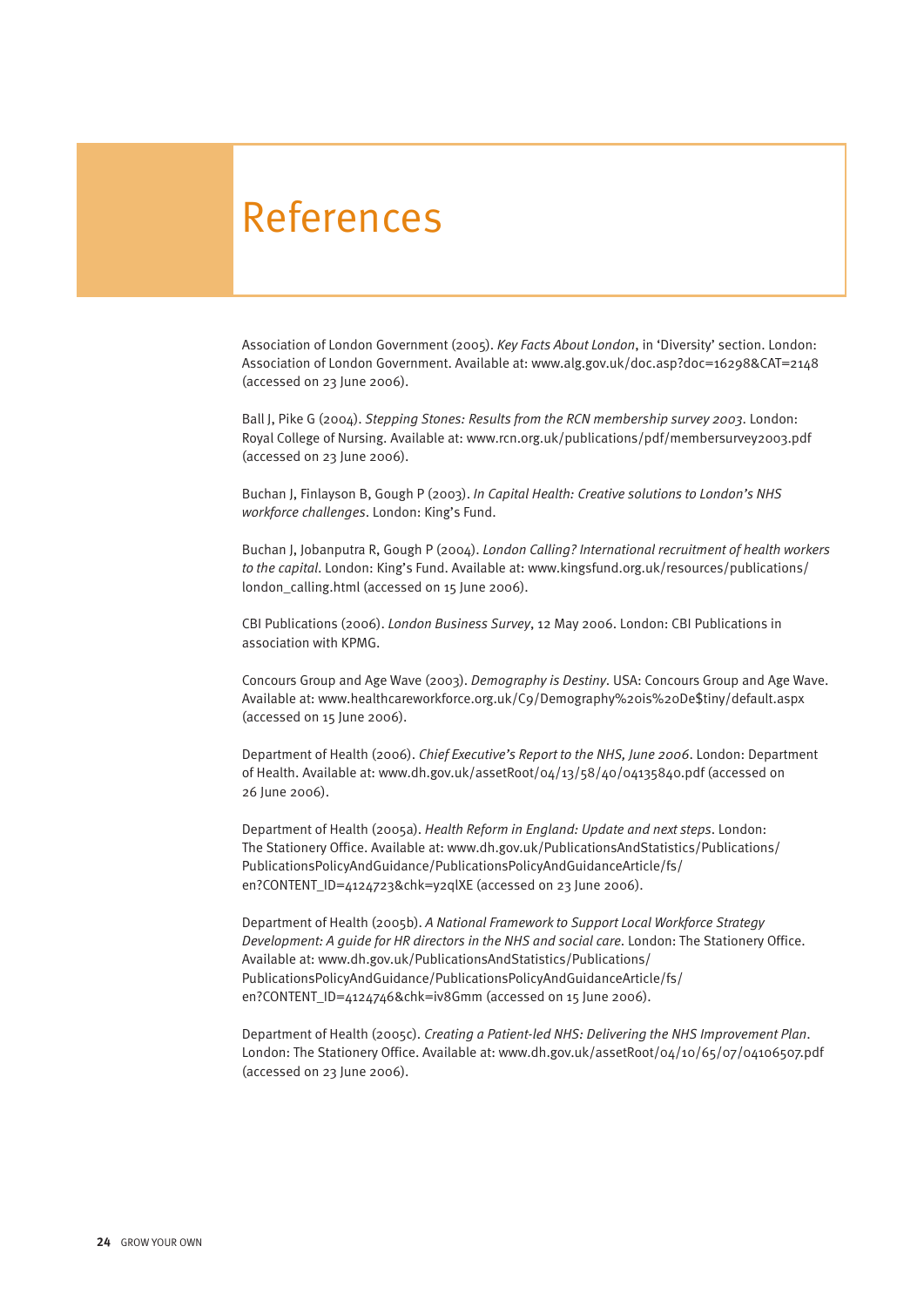# References

Association of London Government (2005). *Key Facts About London*, in 'Diversity' section. London: Association of London Government. Available at: www.alg.gov.uk/doc.asp?doc=16298&CAT=2148 (accessed on 23 June 2006).

Ball J, Pike G (2004). *Stepping Stones: Results from the RCN membership survey 2003*. London: Royal College of Nursing. Available at: www.rcn.org.uk/publications/pdf/membersurvey2003.pdf (accessed on 23 June 2006).

Buchan J, Finlayson B, Gough P (2003). *In Capital Health: Creative solutions to London's NHS workforce challenges*. London: King's Fund.

Buchan J, Jobanputra R, Gough P (2004). *London Calling? International recruitment of health workers to the capital*. London: King's Fund. Available at: www.kingsfund.org.uk/resources/publications/ london\_calling.html (accessed on 15 June 2006).

CBI Publications (2006). *London Business Survey*, 12 May 2006. London: CBI Publications in association with KPMG.

Concours Group and Age Wave (2003). *Demography is Destiny*. USA: Concours Group and Age Wave. Available at: www.healthcareworkforce.org.uk/C9/Demography%20is%20De\$tiny/default.aspx (accessed on 15 June 2006).

Department of Health (2006). *Chief Executive's Report to the NHS, June 2006*. London: Department of Health. Available at: www.dh.gov.uk/assetRoot/04/13/58/40/04135840.pdf (accessed on 26 June 2006).

Department of Health (2005a). *Health Reform in England: Update and next steps*. London: The Stationery Office. Available at: www.dh.gov.uk/PublicationsAndStatistics/Publications/ PublicationsPolicyAndGuidance/PublicationsPolicyAndGuidanceArticle/fs/ en?CONTENT\_ID=4124723&chk=y2qlXE (accessed on 23 June 2006).

Department of Health (2005b). *A National Framework to Support Local Workforce Strategy Development: A guide for HR directors in the NHS and social care*. London: The Stationery Office. Available at: www.dh.gov.uk/PublicationsAndStatistics/Publications/ PublicationsPolicyAndGuidance/PublicationsPolicyAndGuidanceArticle/fs/ en?CONTENT\_ID=4124746&chk=iv8Gmm (accessed on 15 June 2006).

Department of Health (2005c). *Creating a Patient-led NHS: Delivering the NHS Improvement Plan*. London: The Stationery Office. Available at: www.dh.gov.uk/assetRoot/04/10/65/07/04106507.pdf (accessed on 23 June 2006).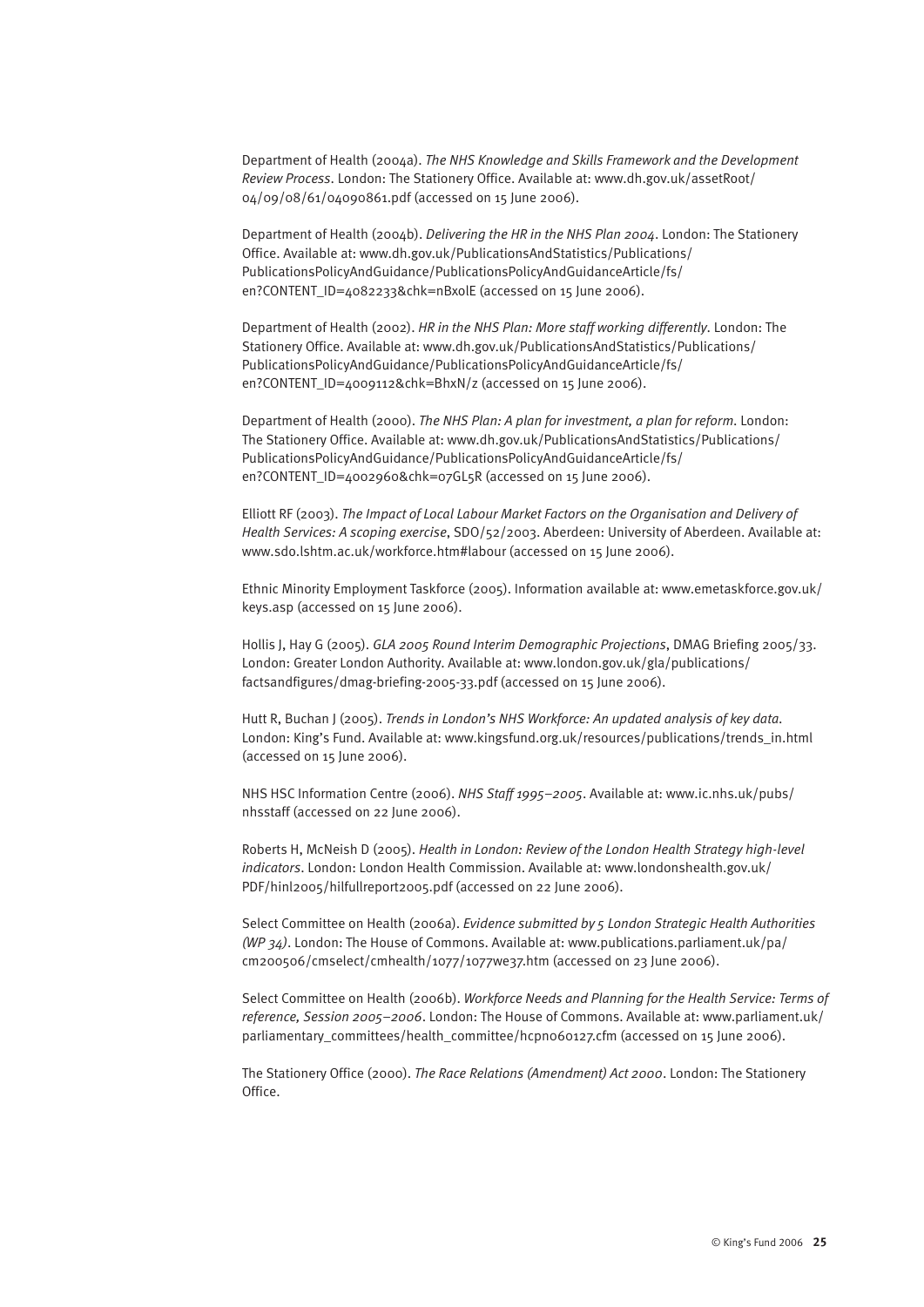Department of Health (2004a). *The NHS Knowledge and Skills Framework and the Development Review Process*. London: The Stationery Office. Available at: www.dh.gov.uk/assetRoot/ 04/09/08/61/04090861.pdf (accessed on 15 June 2006).

Department of Health (2004b). *Delivering the HR in the NHS Plan 2004*. London: The Stationery Office. Available at: www.dh.gov.uk/PublicationsAndStatistics/Publications/ PublicationsPolicyAndGuidance/PublicationsPolicyAndGuidanceArticle/fs/ en?CONTENT\_ID=4082233&chk=nBxolE (accessed on 15 June 2006).

Department of Health (2002). *HR in the NHS Plan: More staff working differently*. London: The Stationery Office. Available at: www.dh.gov.uk/PublicationsAndStatistics/Publications/ PublicationsPolicyAndGuidance/PublicationsPolicyAndGuidanceArticle/fs/ en?CONTENT\_ID=4009112&chk=BhxN/z (accessed on 15 June 2006).

Department of Health (2000). *The NHS Plan: A plan for investment, a plan for reform*. London: The Stationery Office. Available at: www.dh.gov.uk/PublicationsAndStatistics/Publications/ PublicationsPolicyAndGuidance/PublicationsPolicyAndGuidanceArticle/fs/ en?CONTENT\_ID=4002960&chk=07GL5R (accessed on 15 June 2006).

Elliott RF (2003). *The Impact of Local Labour Market Factors on the Organisation and Delivery of Health Services: A scoping exercise*, SDO/52/2003. Aberdeen: University of Aberdeen. Available at: www.sdo.lshtm.ac.uk/workforce.htm#labour (accessed on 15 June 2006).

Ethnic Minority Employment Taskforce (2005). Information available at: www.emetaskforce.gov.uk/ keys.asp (accessed on 15 June 2006).

Hollis J, Hay G (2005). *GLA 2005 Round Interim Demographic Projections*, DMAG Briefing 2005/33. London: Greater London Authority. Available at: www.london.gov.uk/gla/publications/ factsandfigures/dmag-briefing-2005-33.pdf (accessed on 15 June 2006).

Hutt R, Buchan J (2005). *Trends in London's NHS Workforce: An updated analysis of key data*. London: King's Fund. Available at: www.kingsfund.org.uk/resources/publications/trends\_in.html (accessed on 15 June 2006).

NHS HSC Information Centre (2006). *NHS Staff 1995–2005*. Available at: www.ic.nhs.uk/pubs/ nhsstaff (accessed on 22 June 2006).

Roberts H, McNeish D (2005). *Health in London: Review of the London Health Strategy high-level indicators*. London: London Health Commission. Available at: www.londonshealth.gov.uk/ PDF/hinl2005/hilfullreport2005.pdf (accessed on 22 June 2006).

Select Committee on Health (2006a). *Evidence submitted by 5 London Strategic Health Authorities (WP 34)*. London: The House of Commons. Available at: www.publications.parliament.uk/pa/ cm200506/cmselect/cmhealth/1077/1077we37.htm (accessed on 23 June 2006).

Select Committee on Health (2006b). *Workforce Needs and Planning for the Health Service: Terms of reference, Session 2005–2006*. London: The House of Commons. Available at: www.parliament.uk/ parliamentary\_committees/health\_committee/hcpn060127.cfm (accessed on 15 June 2006).

The Stationery Office (2000). *The Race Relations (Amendment) Act 2000*. London: The Stationery Office.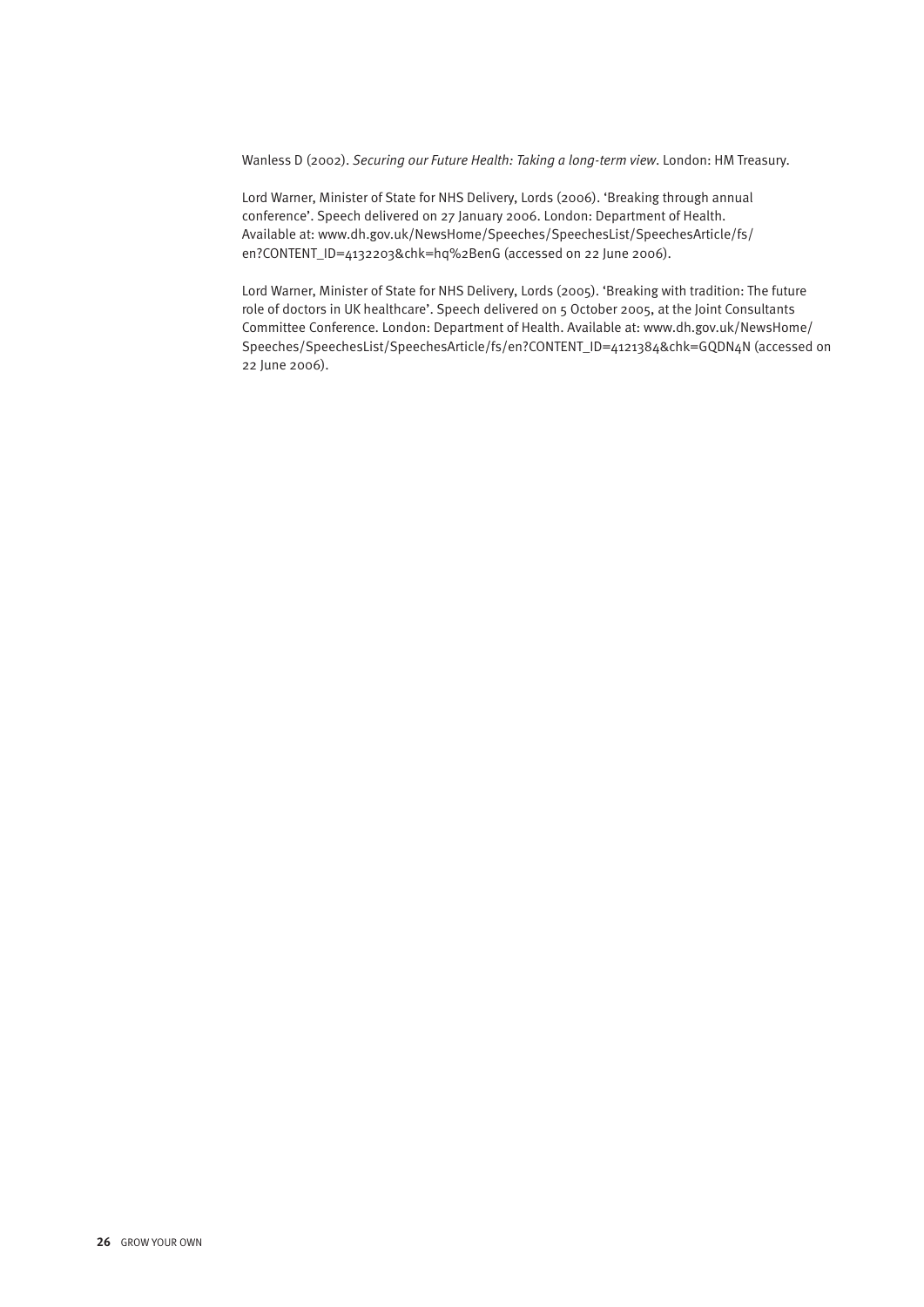Wanless D (2002). *Securing our Future Health: Taking a long-term view*. London: HM Treasury.

Lord Warner, Minister of State for NHS Delivery, Lords (2006). 'Breaking through annual conference'. Speech delivered on 27 January 2006. London: Department of Health. Available at: www.dh.gov.uk/NewsHome/Speeches/SpeechesList/SpeechesArticle/fs/ en?CONTENT\_ID=4132203&chk=hq%2BenG (accessed on 22 June 2006).

Lord Warner, Minister of State for NHS Delivery, Lords (2005). 'Breaking with tradition: The future role of doctors in UK healthcare'. Speech delivered on 5 October 2005, at the Joint Consultants Committee Conference. London: Department of Health. Available at: www.dh.gov.uk/NewsHome/ Speeches/SpeechesList/SpeechesArticle/fs/en?CONTENT\_ID=4121384&chk=GQDN4N (accessed on 22 June 2006).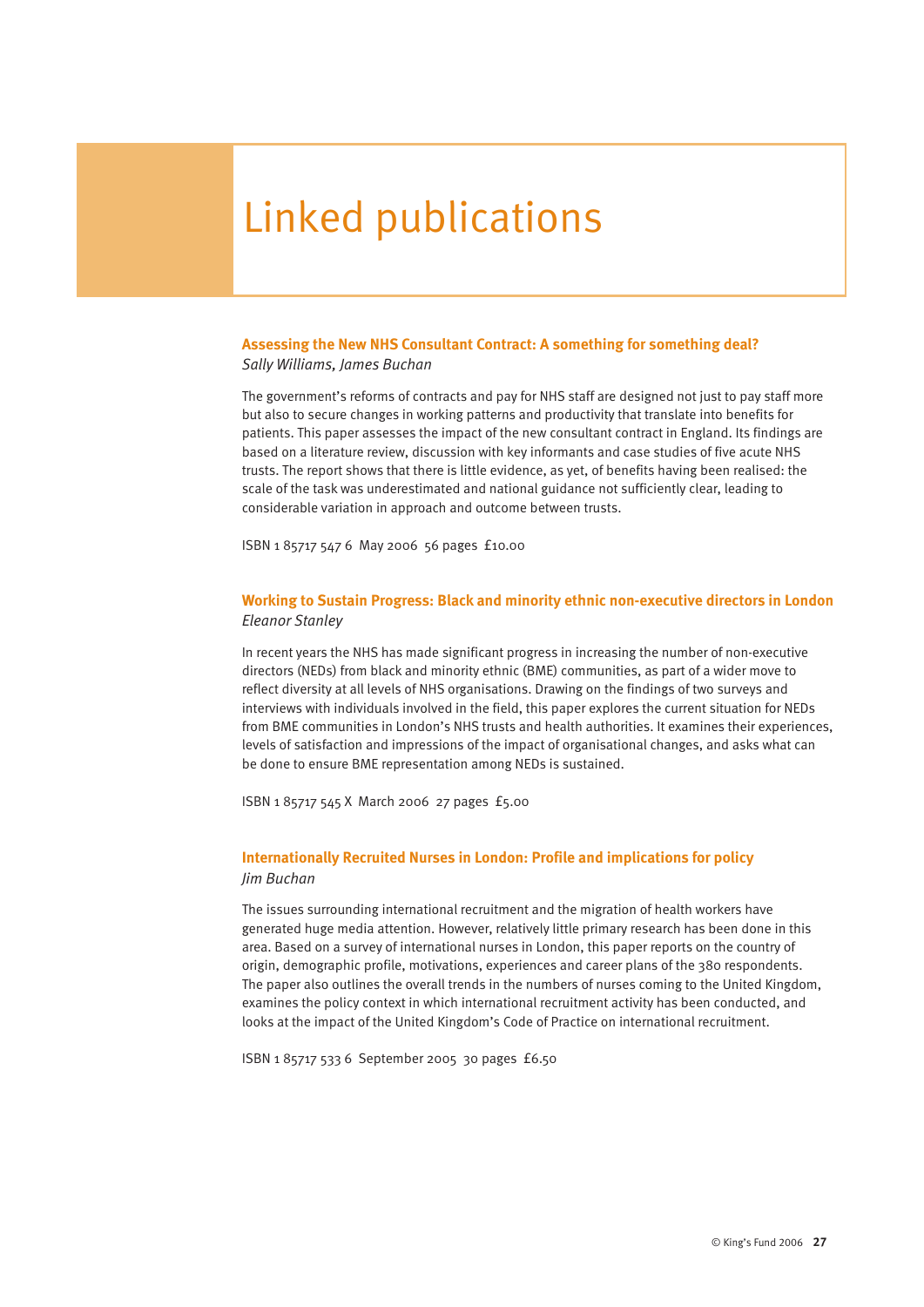# Linked publications

#### **Assessing the New NHS Consultant Contract: A something for something deal?** *Sally Williams, James Buchan*

The government's reforms of contracts and pay for NHS staff are designed not just to pay staff more but also to secure changes in working patterns and productivity that translate into benefits for patients. This paper assesses the impact of the new consultant contract in England. Its findings are based on a literature review, discussion with key informants and case studies of five acute NHS trusts. The report shows that there is little evidence, as yet, of benefits having been realised: the scale of the task was underestimated and national guidance not sufficiently clear, leading to considerable variation in approach and outcome between trusts.

ISBN 1 85717 547 6 May 2006 56 pages £10.00

#### **Working to Sustain Progress: Black and minority ethnic non-executive directors in London** *Eleanor Stanley*

In recent years the NHS has made significant progress in increasing the number of non-executive directors (NEDs) from black and minority ethnic (BME) communities, as part of a wider move to reflect diversity at all levels of NHS organisations. Drawing on the findings of two surveys and interviews with individuals involved in the field, this paper explores the current situation for NEDs from BME communities in London's NHS trusts and health authorities. It examines their experiences, levels of satisfaction and impressions of the impact of organisational changes, and asks what can be done to ensure BME representation among NEDs is sustained.

ISBN 1 85717 545 X March 2006 27 pages £5.00

#### **Internationally Recruited Nurses in London: Profile and implications for policy** *Jim Buchan*

The issues surrounding international recruitment and the migration of health workers have generated huge media attention. However, relatively little primary research has been done in this area. Based on a survey of international nurses in London, this paper reports on the country of origin, demographic profile, motivations, experiences and career plans of the 380 respondents. The paper also outlines the overall trends in the numbers of nurses coming to the United Kingdom, examines the policy context in which international recruitment activity has been conducted, and looks at the impact of the United Kingdom's Code of Practice on international recruitment.

ISBN 1 85717 533 6 September 2005 30 pages £6.50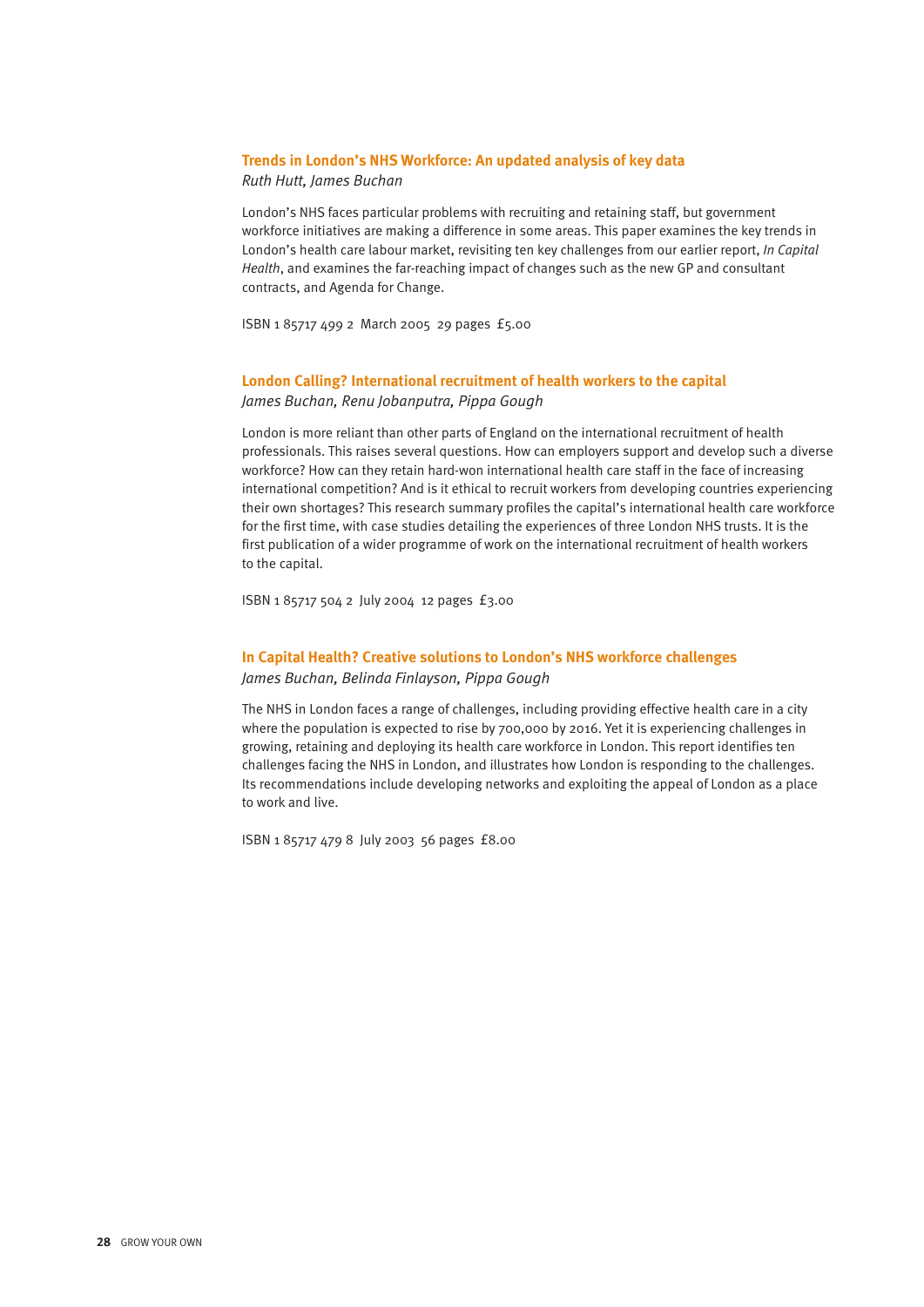#### **Trends in London's NHS Workforce: An updated analysis of key data** *Ruth Hutt, James Buchan*

London's NHS faces particular problems with recruiting and retaining staff, but government workforce initiatives are making a difference in some areas. This paper examines the key trends in London's health care labour market, revisiting ten key challenges from our earlier report, *In Capital Health*, and examines the far-reaching impact of changes such as the new GP and consultant contracts, and Agenda for Change.

ISBN 1 85717 499 2 March 2005 29 pages £5.00

# **London Calling? International recruitment of health workers to the capital**

*James Buchan, Renu Jobanputra, Pippa Gough* 

London is more reliant than other parts of England on the international recruitment of health professionals. This raises several questions. How can employers support and develop such a diverse workforce? How can they retain hard-won international health care staff in the face of increasing international competition? And is it ethical to recruit workers from developing countries experiencing their own shortages? This research summary profiles the capital's international health care workforce for the first time, with case studies detailing the experiences of three London NHS trusts. It is the first publication of a wider programme of work on the international recruitment of health workers to the capital.

ISBN 1 85717 504 2 July 2004 12 pages £3.00

#### **In Capital Health? Creative solutions to London's NHS workforce challenges**

*James Buchan, Belinda Finlayson, Pippa Gough* 

The NHS in London faces a range of challenges, including providing effective health care in a city where the population is expected to rise by 700,000 by 2016. Yet it is experiencing challenges in growing, retaining and deploying its health care workforce in London. This report identifies ten challenges facing the NHS in London, and illustrates how London is responding to the challenges. Its recommendations include developing networks and exploiting the appeal of London as a place to work and live.

ISBN 1 85717 479 8 July 2003 56 pages £8.00